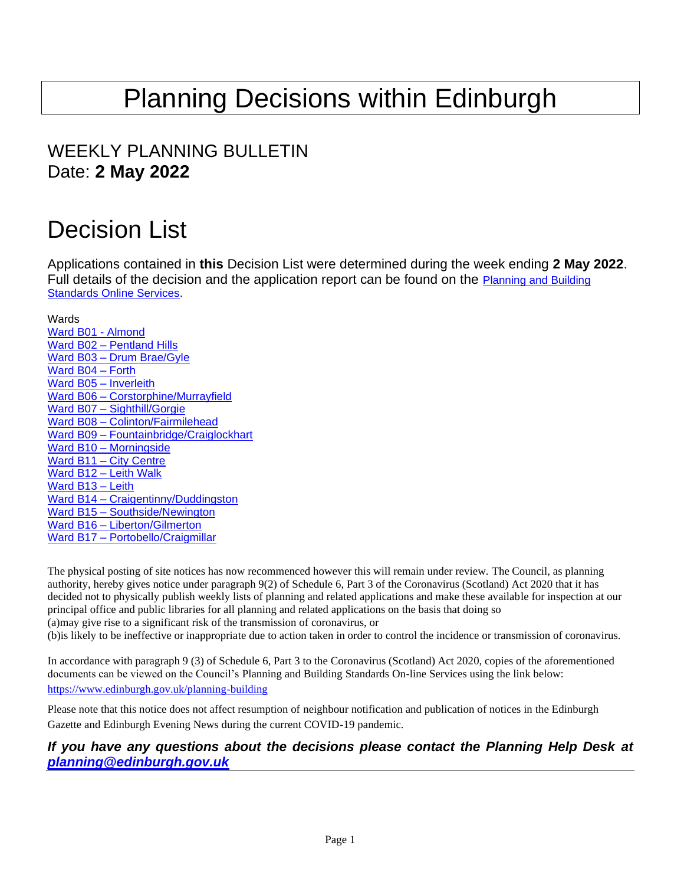# Planning Decisions within Edinburgh

# WEEKLY PLANNING BULLETIN Date: **2 May 2022**

# Decision List

Applications contained in **this** Decision List were determined during the week ending **2 May 2022**. Full details of the decision and the application report can be found on the Planning and Building [Standards Online Services.](https://citydev-portal.edinburgh.gov.uk/idoxpa-web/search.do?action=simple&searchType=Application)

<span id="page-0-0"></span>Wards [Ward B01](#page-1-0) - Almond Ward B02 – [Pentland Hills](#page-2-0) Ward B03 – [Drum Brae/Gyle](#page-4-0) [Ward B04](#page-4-1) – Forth [Ward B05](#page-7-0) – Inverleith Ward B06 – [Corstorphine/Murrayfield](#page-8-0) Ward B07 – [Sighthill/Gorgie](#page-9-0) Ward B08 – [Colinton/Fairmilehead](#page-9-1) Ward B09 – [Fountainbridge/Craiglockhart](#page-10-0) Ward B10 – [Morningside](#page-11-0) Ward B11 – [City Centre](#page-13-0) Ward B12 – [Leith Walk](#page-16-0) [Ward B13](#page-17-0) – Leith Ward B14 – [Craigentinny/Duddingston](#page-18-0) Ward B15 – [Southside/Newington](#page-18-1) Ward B16 – [Liberton/Gilmerton](#page-19-0) Ward B17 – [Portobello/Craigmillar](#page-20-0)

The physical posting of site notices has now recommenced however this will remain under review. The Council, as planning authority, hereby gives notice under paragraph 9(2) of Schedule 6, Part 3 of the Coronavirus (Scotland) Act 2020 that it has decided not to physically publish weekly lists of planning and related applications and make these available for inspection at our principal office and public libraries for all planning and related applications on the basis that doing so (a)may give rise to a significant risk of the transmission of coronavirus, or (b)is likely to be ineffective or inappropriate due to action taken in order to control the incidence or transmission of coronavirus.

In accordance with paragraph 9 (3) of Schedule 6, Part 3 to the Coronavirus (Scotland) Act 2020, copies of the aforementioned documents can be viewed on the Council's Planning and Building Standards On-line Services using the link below: <https://www.edinburgh.gov.uk/planning-building>

Please note that this notice does not affect resumption of neighbour notification and publication of notices in the Edinburgh Gazette and Edinburgh Evening News during the current COVID-19 pandemic.

*If you have any questions about the decisions please contact the Planning Help Desk at [planning@edinburgh.gov.uk](mailto:planning@edinburgh.gov.uk)*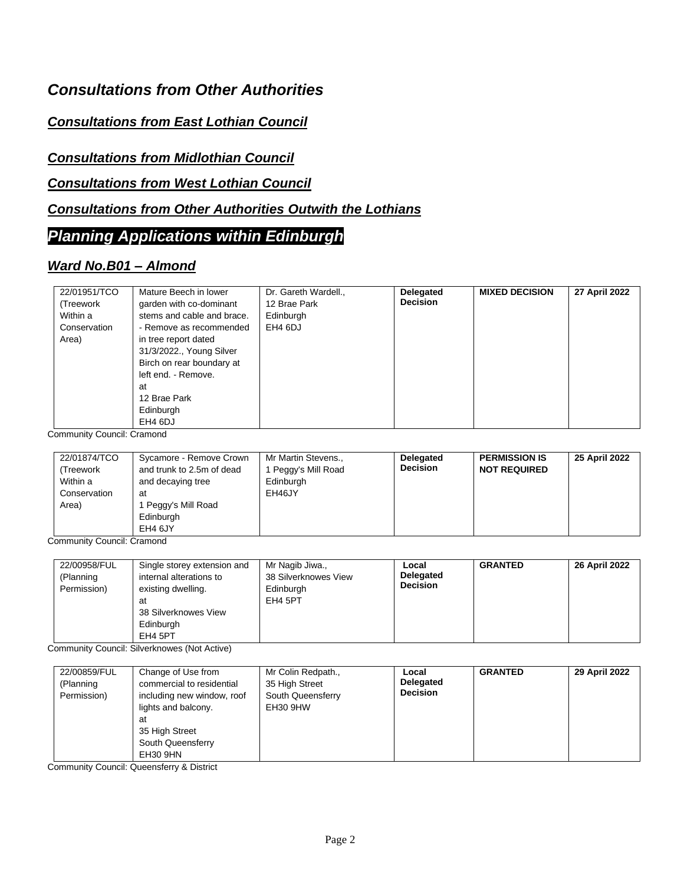## *Consultations from Other Authorities*

## *Consultations from East Lothian Council*

#### *Consultations from Midlothian Council*

#### *Consultations from West Lothian Council*

#### *Consultations from Other Authorities Outwith the Lothians*

## *Planning Applications within Edinburgh*

#### <span id="page-1-0"></span>*Ward No.B01 – Almond*

| Mature Beech in lower<br>Dr. Gareth Wardell.,<br>22/01951/TCO<br>12 Brae Park<br>garden with co-dominant<br>(Treework<br>stems and cable and brace.<br>Within a<br>Edinburgh<br>EH4 6DJ<br>Conservation<br>- Remove as recommended<br>Area)<br>in tree report dated<br>31/3/2022., Young Silver<br>Birch on rear boundary at<br>left end. - Remove.<br>at<br>12 Brae Park<br>Edinburgh<br>EH4 6DJ | <b>Delegated</b><br><b>Decision</b> | <b>MIXED DECISION</b> | 27 April 2022 |
|---------------------------------------------------------------------------------------------------------------------------------------------------------------------------------------------------------------------------------------------------------------------------------------------------------------------------------------------------------------------------------------------------|-------------------------------------|-----------------------|---------------|

Community Council: Cramond

| 22/01874/TCO<br>(Treework<br>Within a<br>Conservation<br>Area) | Sycamore - Remove Crown<br>and trunk to 2.5m of dead<br>and decaying tree<br>at<br>l Peggy's Mill Road<br>Edinburgh | Mr Martin Stevens.,<br>l Peggy's Mill Road<br>Edinburgh<br>EH46JY | <b>Delegated</b><br><b>Decision</b> | <b>PERMISSION IS</b><br><b>NOT REQUIRED</b> | 25 April 2022 |
|----------------------------------------------------------------|---------------------------------------------------------------------------------------------------------------------|-------------------------------------------------------------------|-------------------------------------|---------------------------------------------|---------------|
|                                                                | EH4 6JY                                                                                                             |                                                                   |                                     |                                             |               |

Community Council: Cramond

| 22/00958/FUL<br>Single storey extension and<br>internal alterations to<br>(Planning<br>Permission)<br>existing dwelling.<br>at<br>38 Silverknowes View<br>Edinburgh<br>EH4 5PT | Mr Nagib Jiwa.,<br>38 Silverknowes View<br>Edinburgh<br>EH4 5PT | Local<br>Delegated<br><b>Decision</b> | <b>GRANTED</b> | 26 April 2022 |
|--------------------------------------------------------------------------------------------------------------------------------------------------------------------------------|-----------------------------------------------------------------|---------------------------------------|----------------|---------------|
|--------------------------------------------------------------------------------------------------------------------------------------------------------------------------------|-----------------------------------------------------------------|---------------------------------------|----------------|---------------|

Community Council: Silverknowes (Not Active)

| 22/00859/FUL | Change of Use from         | Mr Colin Redpath., | Local            | <b>GRANTED</b> | 29 April 2022 |
|--------------|----------------------------|--------------------|------------------|----------------|---------------|
| (Planning    | commercial to residential  | 35 High Street     | <b>Delegated</b> |                |               |
| Permission)  | including new window, roof | South Queensferry  | <b>Decision</b>  |                |               |
|              | lights and balcony.        | EH30 9HW           |                  |                |               |
|              | at                         |                    |                  |                |               |
|              | 35 High Street             |                    |                  |                |               |
|              | South Queensferry          |                    |                  |                |               |
|              | EH30 9HN                   |                    |                  |                |               |

Community Council: Queensferry & District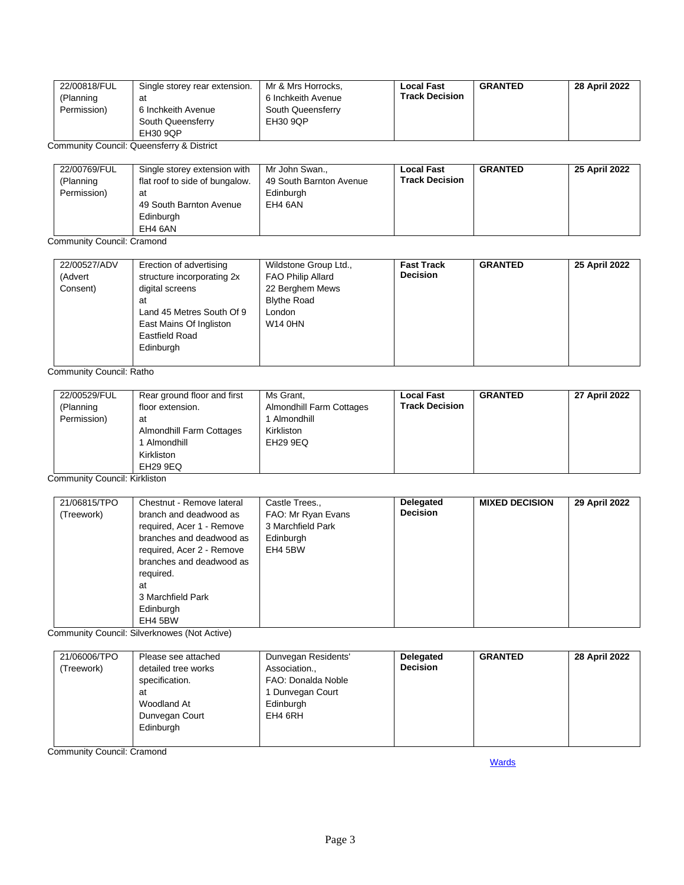| 22/00818/FUL | Single storey rear extension. | Mr & Mrs Horrocks. | <b>Local Fast</b>     | <b>GRANTED</b> | 28 April 2022 |
|--------------|-------------------------------|--------------------|-----------------------|----------------|---------------|
| (Planning    | at                            | 6 Inchkeith Avenue | <b>Track Decision</b> |                |               |
| Permission)  | 6 Inchkeith Avenue            | South Queensferry  |                       |                |               |
|              | South Queensferry             | EH30 9QP           |                       |                |               |
|              | EH30 9QP                      |                    |                       |                |               |

Community Council: Queensferry & District

| 22/00769/FUL<br>(Planning<br>Permission) | Single storey extension with<br>flat roof to side of bungalow.<br>at<br>49 South Barnton Avenue<br>Edinburgh | Mr John Swan.,<br>49 South Barnton Avenue<br>Edinburgh<br>EH4 6AN | <b>Local Fast</b><br><b>Track Decision</b> | <b>GRANTED</b> | 25 April 2022 |
|------------------------------------------|--------------------------------------------------------------------------------------------------------------|-------------------------------------------------------------------|--------------------------------------------|----------------|---------------|
|                                          | EH4 6AN                                                                                                      |                                                                   |                                            |                |               |

Community Council: Cramond

| 22/00527/ADV<br>(Advert<br>Consent) | Erection of advertising<br>structure incorporating 2x<br>digital screens<br>at<br>Land 45 Metres South Of 9<br>East Mains Of Ingliston<br>Eastfield Road | Wildstone Group Ltd.,<br><b>FAO Philip Allard</b><br>22 Berghem Mews<br><b>Blythe Road</b><br>London<br><b>W14 0HN</b> | <b>Fast Track</b><br><b>Decision</b> | <b>GRANTED</b> | 25 April 2022 |
|-------------------------------------|----------------------------------------------------------------------------------------------------------------------------------------------------------|------------------------------------------------------------------------------------------------------------------------|--------------------------------------|----------------|---------------|
|                                     | Edinburgh                                                                                                                                                |                                                                                                                        |                                      |                |               |

Community Council: Ratho

| 22/00529/FUL<br>(Planning<br>Permission) | Rear ground floor and first<br>floor extension.<br>at<br>Almondhill Farm Cottages<br>Almondhill | Ms Grant,<br>Almondhill Farm Cottages<br>Almondhill<br>Kirkliston<br>EH29 9EQ | <b>Local Fast</b><br><b>Track Decision</b> | <b>GRANTED</b> | 27 April 2022 |
|------------------------------------------|-------------------------------------------------------------------------------------------------|-------------------------------------------------------------------------------|--------------------------------------------|----------------|---------------|
|                                          | Kirkliston<br>EH29 9EQ                                                                          |                                                                               |                                            |                |               |

Community Council: Kirkliston

| 21/06815/TPO<br>(Treework) | Chestnut - Remove lateral<br>branch and deadwood as<br>required, Acer 1 - Remove<br>branches and deadwood as<br>required, Acer 2 - Remove<br>branches and deadwood as<br>required.<br>at<br>3 Marchfield Park<br>Edinburgh<br>EH4 5BW | Castle Trees.,<br>FAO: Mr Ryan Evans<br>3 Marchfield Park<br>Edinburgh<br>EH4 5BW | <b>Delegated</b><br><b>Decision</b> | <b>MIXED DECISION</b> | 29 April 2022 |
|----------------------------|---------------------------------------------------------------------------------------------------------------------------------------------------------------------------------------------------------------------------------------|-----------------------------------------------------------------------------------|-------------------------------------|-----------------------|---------------|
|----------------------------|---------------------------------------------------------------------------------------------------------------------------------------------------------------------------------------------------------------------------------------|-----------------------------------------------------------------------------------|-------------------------------------|-----------------------|---------------|

Community Council: Silverknowes (Not Active)

| 21/06006/TPO | Please see attached | Dunvegan Residents' | <b>Delegated</b> | <b>GRANTED</b> | 28 April 2022 |
|--------------|---------------------|---------------------|------------------|----------------|---------------|
| (Treework)   | detailed tree works | Association.,       | <b>Decision</b>  |                |               |
|              | specification.      | FAO: Donalda Noble  |                  |                |               |
|              | at                  | 1 Dunvegan Court    |                  |                |               |
|              | Woodland At         | Edinburgh           |                  |                |               |
|              | Dunvegan Court      | EH4 6RH             |                  |                |               |
|              | Edinburgh           |                     |                  |                |               |
|              |                     |                     |                  |                |               |

<span id="page-2-0"></span>Community Council: Cramond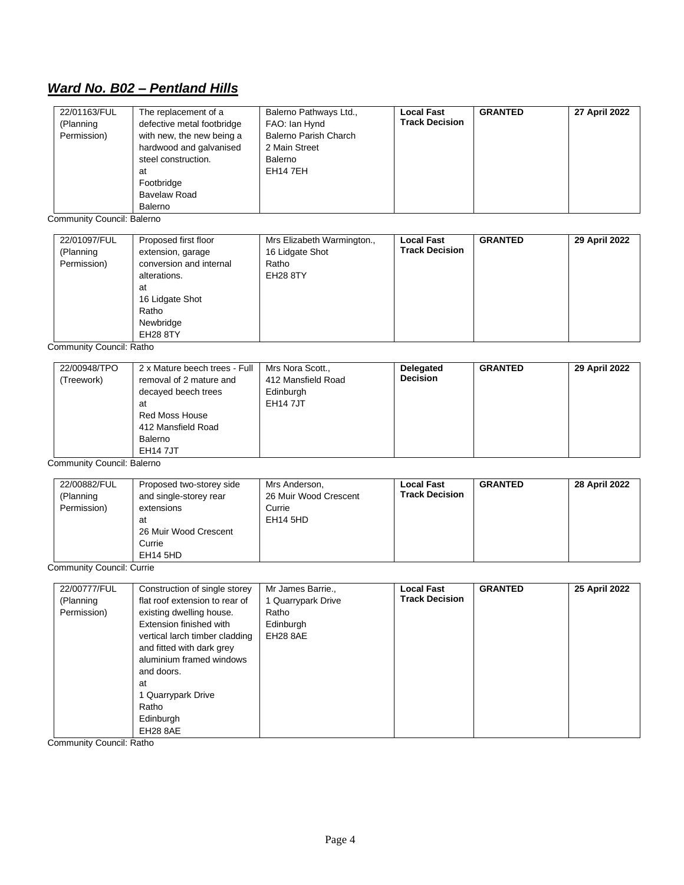# *Ward No. B02 – Pentland Hills*

| 22/01163/FUL                     | The replacement of a           | Balerno Pathways Ltd.,       | <b>Local Fast</b>     | <b>GRANTED</b> | 27 April 2022 |
|----------------------------------|--------------------------------|------------------------------|-----------------------|----------------|---------------|
| (Planning                        | defective metal footbridge     | FAO: Ian Hynd                | <b>Track Decision</b> |                |               |
| Permission)                      | with new, the new being a      | <b>Balerno Parish Charch</b> |                       |                |               |
|                                  | hardwood and galvanised        | 2 Main Street                |                       |                |               |
|                                  | steel construction.            | Balerno                      |                       |                |               |
|                                  | at                             | EH14 7EH                     |                       |                |               |
|                                  | Footbridge                     |                              |                       |                |               |
|                                  | <b>Bavelaw Road</b>            |                              |                       |                |               |
|                                  | Balerno                        |                              |                       |                |               |
| Community Council: Balerno       |                                |                              |                       |                |               |
|                                  |                                |                              |                       |                |               |
| 22/01097/FUL                     | Proposed first floor           | Mrs Elizabeth Warmington.,   | <b>Local Fast</b>     | <b>GRANTED</b> | 29 April 2022 |
| (Planning                        | extension, garage              | 16 Lidgate Shot              | <b>Track Decision</b> |                |               |
| Permission)                      | conversion and internal        | Ratho                        |                       |                |               |
|                                  | alterations.                   | <b>EH28 8TY</b>              |                       |                |               |
|                                  | at                             |                              |                       |                |               |
|                                  | 16 Lidgate Shot                |                              |                       |                |               |
|                                  | Ratho                          |                              |                       |                |               |
|                                  | Newbridge                      |                              |                       |                |               |
|                                  | <b>EH28 8TY</b>                |                              |                       |                |               |
| Community Council: Ratho         |                                |                              |                       |                |               |
| 22/00948/TPO                     | 2 x Mature beech trees - Full  | Mrs Nora Scott.,             | Delegated             | <b>GRANTED</b> | 29 April 2022 |
| (Treework)                       | removal of 2 mature and        | 412 Mansfield Road           | <b>Decision</b>       |                |               |
|                                  |                                |                              |                       |                |               |
|                                  | decayed beech trees            | Edinburgh                    |                       |                |               |
|                                  | at                             | <b>EH147JT</b>               |                       |                |               |
|                                  | Red Moss House                 |                              |                       |                |               |
|                                  | 412 Mansfield Road             |                              |                       |                |               |
|                                  | <b>Balerno</b>                 |                              |                       |                |               |
|                                  | <b>EH147JT</b>                 |                              |                       |                |               |
| Community Council: Balerno       |                                |                              |                       |                |               |
| 22/00882/FUL                     | Proposed two-storey side       | Mrs Anderson,                | <b>Local Fast</b>     | <b>GRANTED</b> | 28 April 2022 |
| (Planning                        | and single-storey rear         | 26 Muir Wood Crescent        | <b>Track Decision</b> |                |               |
| Permission)                      | extensions                     | Currie                       |                       |                |               |
|                                  | at                             | <b>EH14 5HD</b>              |                       |                |               |
|                                  | 26 Muir Wood Crescent          |                              |                       |                |               |
|                                  | Currie                         |                              |                       |                |               |
|                                  | <b>EH14 5HD</b>                |                              |                       |                |               |
| <b>Community Council: Currie</b> |                                |                              |                       |                |               |
|                                  |                                |                              |                       |                |               |
| 22/00777/FUL                     | Construction of single storey  | Mr James Barrie.,            | <b>Local Fast</b>     | <b>GRANTED</b> | 25 April 2022 |
| (Planning                        | flat roof extension to rear of | 1 Quarrypark Drive           | <b>Track Decision</b> |                |               |
| Permission)                      | existing dwelling house.       | Ratho                        |                       |                |               |
|                                  | Extension finished with        | Edinburgh                    |                       |                |               |
|                                  | vertical larch timber cladding | EH28 8AE                     |                       |                |               |
|                                  | and fitted with dark grey      |                              |                       |                |               |
|                                  | aluminium framed windows       |                              |                       |                |               |
|                                  | and doors.                     |                              |                       |                |               |
|                                  | at                             |                              |                       |                |               |
|                                  | 1 Quarrypark Drive             |                              |                       |                |               |
|                                  | Ratho                          |                              |                       |                |               |
|                                  | Edinburgh                      |                              |                       |                |               |
|                                  | EH28 8AE                       |                              |                       |                |               |

Community Council: Ratho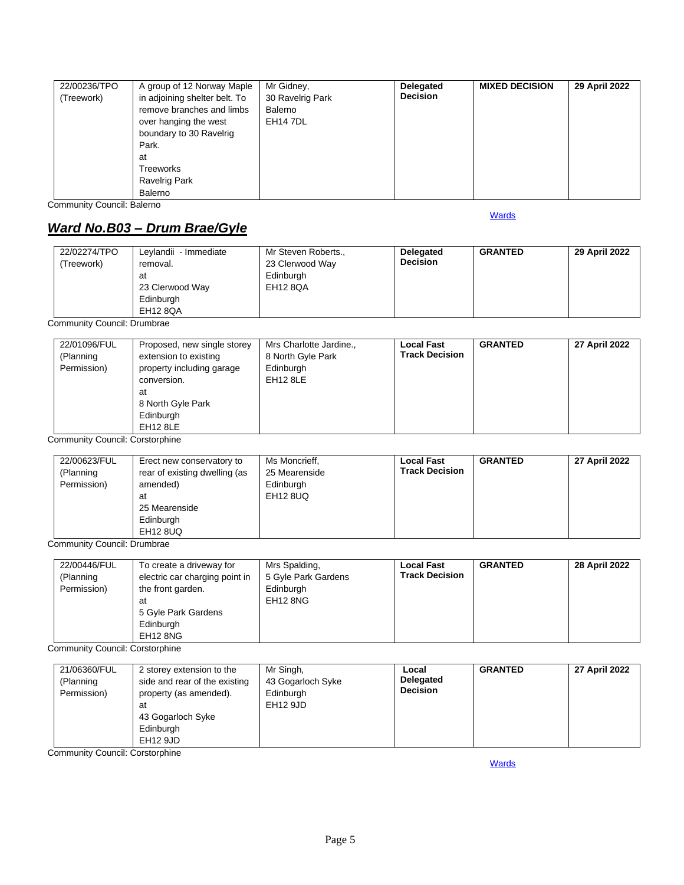| 22/00236/TPO | A group of 12 Norway Maple    | Mr Gidney,       | Delegated       | <b>MIXED DECISION</b> | 29 April 2022 |
|--------------|-------------------------------|------------------|-----------------|-----------------------|---------------|
| (Treework)   | in adjoining shelter belt. To | 30 Ravelrig Park | <b>Decision</b> |                       |               |
|              | remove branches and limbs     | Balerno          |                 |                       |               |
|              | over hanging the west         | <b>EH14 7DL</b>  |                 |                       |               |
|              | boundary to 30 Ravelrig       |                  |                 |                       |               |
|              | Park.                         |                  |                 |                       |               |
|              | at                            |                  |                 |                       |               |
|              | Treeworks                     |                  |                 |                       |               |
|              | <b>Ravelrig Park</b>          |                  |                 |                       |               |
|              | Balerno                       |                  |                 |                       |               |

Community Council: Balerno

## <span id="page-4-0"></span>*Ward No.B03 – Drum Brae/Gyle*

22/02274/TPO (Treework) Leylandii - Immediate removal. at 23 Clerwood Way Edinburgh EH12 8QA Mr Steven Roberts., 23 Clerwood Way Edinburgh EH12 8QA **Delegated Decision GRANTED 29 April 2022**

Community Council: Drumbrae

| 22/01096/FUL<br>(Planning<br>Permission) | Proposed, new single storey<br>extension to existing<br>property including garage<br>conversion.<br>at<br>8 North Gyle Park<br>Edinburgh<br>EH <sub>12</sub> 8LE | Mrs Charlotte Jardine.,<br>8 North Gyle Park<br>Edinburgh<br><b>EH12 8LE</b> | <b>Local Fast</b><br><b>Track Decision</b> | <b>GRANTED</b> | 27 April 2022 |
|------------------------------------------|------------------------------------------------------------------------------------------------------------------------------------------------------------------|------------------------------------------------------------------------------|--------------------------------------------|----------------|---------------|
|------------------------------------------|------------------------------------------------------------------------------------------------------------------------------------------------------------------|------------------------------------------------------------------------------|--------------------------------------------|----------------|---------------|

Community Council: Corstorphine

| 22/00623/FUL | Erect new conservatory to     | Ms Moncrieff,   | <b>Local Fast</b>     | <b>GRANTED</b> | 27 April 2022 |
|--------------|-------------------------------|-----------------|-----------------------|----------------|---------------|
| (Planning    | rear of existing dwelling (as | 25 Mearenside   | <b>Track Decision</b> |                |               |
| Permission)  | amended)                      | Edinburgh       |                       |                |               |
|              | at                            | <b>EH12 8UQ</b> |                       |                |               |
|              | 25 Mearenside                 |                 |                       |                |               |
|              | Edinburgh                     |                 |                       |                |               |
|              | <b>EH12 8UQ</b>               |                 |                       |                |               |

Community Council: Drumbrae

| 22/00446/FUL<br>(Planning | To create a driveway for<br>electric car charging point in | Mrs Spalding,<br>5 Gyle Park Gardens | <b>Local Fast</b><br><b>Track Decision</b> | <b>GRANTED</b> | 28 April 2022 |
|---------------------------|------------------------------------------------------------|--------------------------------------|--------------------------------------------|----------------|---------------|
| Permission)               | the front garden.                                          | Edinburgh                            |                                            |                |               |
|                           | at                                                         | <b>EH12 8NG</b>                      |                                            |                |               |
|                           | 5 Gyle Park Gardens                                        |                                      |                                            |                |               |
|                           | Edinburgh                                                  |                                      |                                            |                |               |
|                           | <b>EH12 8NG</b>                                            |                                      |                                            |                |               |

Community Council: Corstorphine

| 21/06360/FUL<br>(Planning<br>Permission) | 2 storey extension to the<br>side and rear of the existing<br>property (as amended).<br>at<br>43 Gogarloch Syke<br>Edinburgh<br>EH12 9JD | Mr Singh,<br>43 Gogarloch Syke<br>Edinburgh<br>EH12 9JD | Local<br><b>Delegated</b><br><b>Decision</b> | <b>GRANTED</b> | 27 April 2022 |
|------------------------------------------|------------------------------------------------------------------------------------------------------------------------------------------|---------------------------------------------------------|----------------------------------------------|----------------|---------------|
|------------------------------------------|------------------------------------------------------------------------------------------------------------------------------------------|---------------------------------------------------------|----------------------------------------------|----------------|---------------|

<span id="page-4-1"></span>Community Council: Corstorphine

**[Wards](#page-0-0)**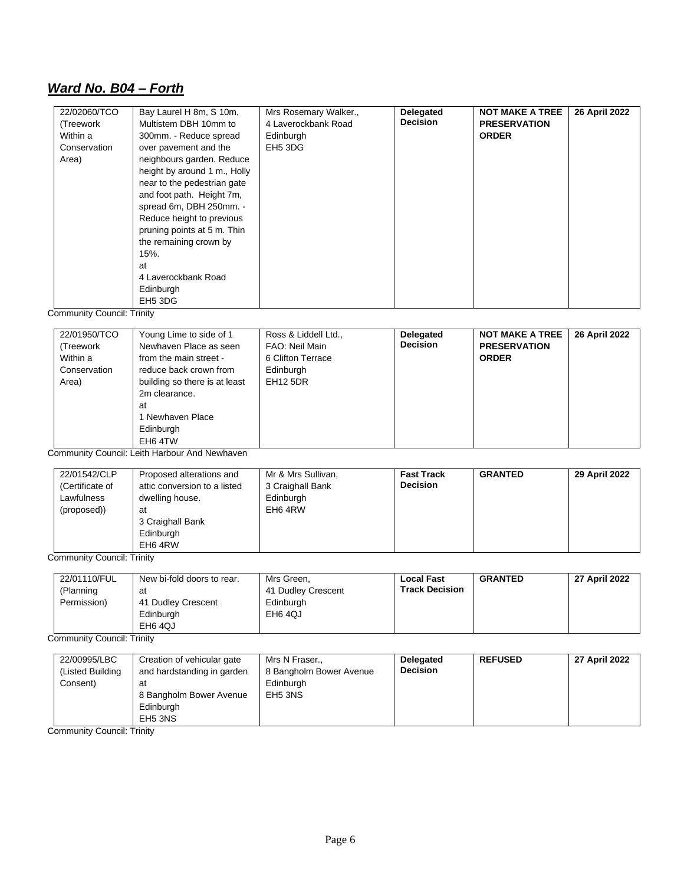## *Ward No. B04 – Forth*

| 22/02060/TCO | Bay Laurel H 8m, S 10m,      | Mrs Rosemary Walker., | <b>Delegated</b> | <b>NOT MAKE A TREE</b> | 26 April 2022 |
|--------------|------------------------------|-----------------------|------------------|------------------------|---------------|
| (Treework    | Multistem DBH 10mm to        | 4 Laverockbank Road   | <b>Decision</b>  | <b>PRESERVATION</b>    |               |
| Within a     | 300mm. - Reduce spread       | Edinburgh             |                  | <b>ORDER</b>           |               |
| Conservation | over pavement and the        | EH <sub>5</sub> 3DG   |                  |                        |               |
| Area)        | neighbours garden. Reduce    |                       |                  |                        |               |
|              | height by around 1 m., Holly |                       |                  |                        |               |
|              | near to the pedestrian gate  |                       |                  |                        |               |
|              | and foot path. Height 7m,    |                       |                  |                        |               |
|              | spread 6m, DBH 250mm. -      |                       |                  |                        |               |
|              | Reduce height to previous    |                       |                  |                        |               |
|              | pruning points at 5 m. Thin  |                       |                  |                        |               |
|              | the remaining crown by       |                       |                  |                        |               |
|              | 15%.                         |                       |                  |                        |               |
|              | at                           |                       |                  |                        |               |
|              | 4 Laverockbank Road          |                       |                  |                        |               |
|              | Edinburgh                    |                       |                  |                        |               |
|              | EH <sub>5</sub> 3DG          |                       |                  |                        |               |

Community Council: Trinity

| 22/01950/TCO<br>(Treework<br>Within a<br>Conservation<br>Area) | Young Lime to side of 1<br>Newhaven Place as seen<br>from the main street -<br>reduce back crown from<br>building so there is at least<br>2m clearance.<br>at<br>1 Newhaven Place<br>Edinburgh<br>EH6 4TW | Ross & Liddell Ltd.,<br>FAO: Neil Main<br>6 Clifton Terrace<br>Edinburgh<br><b>EH12 5DR</b> | <b>Delegated</b><br><b>Decision</b> | <b>NOT MAKE A TREE</b><br><b>PRESERVATION</b><br><b>ORDER</b> | 26 April 2022 |
|----------------------------------------------------------------|-----------------------------------------------------------------------------------------------------------------------------------------------------------------------------------------------------------|---------------------------------------------------------------------------------------------|-------------------------------------|---------------------------------------------------------------|---------------|
|----------------------------------------------------------------|-----------------------------------------------------------------------------------------------------------------------------------------------------------------------------------------------------------|---------------------------------------------------------------------------------------------|-------------------------------------|---------------------------------------------------------------|---------------|

Community Council: Leith Harbour And Newhaven

| 22/01542/CLP<br>(Certificate of<br>Lawfulness<br>(proposed)) | Proposed alterations and<br>attic conversion to a listed<br>dwelling house.<br>at<br>3 Craighall Bank | Mr & Mrs Sullivan,<br>3 Craighall Bank<br>Edinburgh<br>EH6 4RW | <b>Fast Track</b><br><b>Decision</b> | <b>GRANTED</b> | 29 April 2022 |
|--------------------------------------------------------------|-------------------------------------------------------------------------------------------------------|----------------------------------------------------------------|--------------------------------------|----------------|---------------|
|                                                              | Edinburgh<br>EH6 4RW                                                                                  |                                                                |                                      |                |               |

Community Council: Trinity

| 22/01110/FUL<br>(Planning<br>Permission) | New bi-fold doors to rear.<br>at<br>41 Dudley Crescent<br>Edinburgh<br>EH6 4QJ | Mrs Green,<br>41 Dudley Crescent<br>Edinburgh<br>EH6 4QJ | <b>Local Fast</b><br><b>Track Decision</b> | <b>GRANTED</b> | 27 April 2022 |
|------------------------------------------|--------------------------------------------------------------------------------|----------------------------------------------------------|--------------------------------------------|----------------|---------------|
|------------------------------------------|--------------------------------------------------------------------------------|----------------------------------------------------------|--------------------------------------------|----------------|---------------|

Community Council: Trinity

| 22/00995/LBC<br>(Listed Building)<br>Consent) | Creation of vehicular gate<br>and hardstanding in garden<br>at<br>8 Bangholm Bower Avenue | Mrs N Fraser<br>8 Bangholm Bower Avenue<br>Edinburgh<br>EH <sub>5</sub> 3NS | <b>Delegated</b><br><b>Decision</b> | <b>REFUSED</b> | 27 April 2022 |
|-----------------------------------------------|-------------------------------------------------------------------------------------------|-----------------------------------------------------------------------------|-------------------------------------|----------------|---------------|
|                                               | Edinburgh<br>EH <sub>5</sub> 3NS                                                          |                                                                             |                                     |                |               |

Community Council: Trinity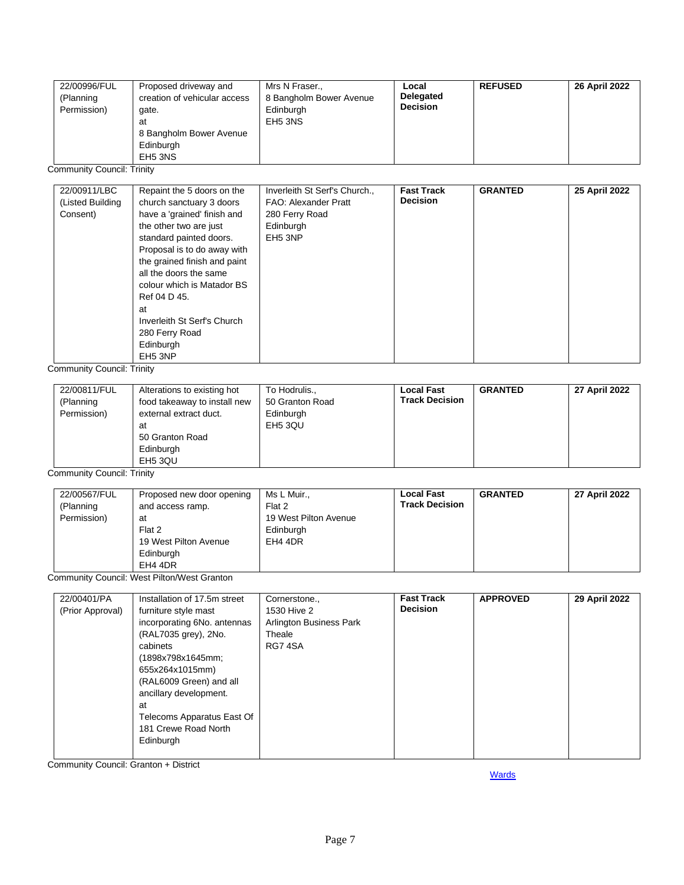|  | 22/00996/FUL<br>(Planning<br>Permission) | Proposed driveway and<br>creation of vehicular access<br>gate.<br>at<br>8 Bangholm Bower Avenue<br>Edinburgh<br>EH <sub>5</sub> 3NS | Mrs N Fraser.,<br>8 Bangholm Bower Avenue<br>Edinburgh<br>EH <sub>5</sub> 3NS | Local<br><b>Delegated</b><br><b>Decision</b> | <b>REFUSED</b> | 26 April 2022 |
|--|------------------------------------------|-------------------------------------------------------------------------------------------------------------------------------------|-------------------------------------------------------------------------------|----------------------------------------------|----------------|---------------|
|--|------------------------------------------|-------------------------------------------------------------------------------------------------------------------------------------|-------------------------------------------------------------------------------|----------------------------------------------|----------------|---------------|

Community Council: Trinity

| 22/00911/LBC     | Repaint the 5 doors on the   | Inverleith St Serf's Church., | <b>Fast Track</b> | <b>GRANTED</b> | 25 April 2022 |
|------------------|------------------------------|-------------------------------|-------------------|----------------|---------------|
| (Listed Building | church sanctuary 3 doors     | FAO: Alexander Pratt          | <b>Decision</b>   |                |               |
| Consent)         | have a 'grained' finish and  | 280 Ferry Road                |                   |                |               |
|                  | the other two are just       | Edinburgh                     |                   |                |               |
|                  | standard painted doors.      | EH <sub>5</sub> 3NP           |                   |                |               |
|                  | Proposal is to do away with  |                               |                   |                |               |
|                  | the grained finish and paint |                               |                   |                |               |
|                  | all the doors the same       |                               |                   |                |               |
|                  | colour which is Matador BS   |                               |                   |                |               |
|                  | Ref 04 D 45.                 |                               |                   |                |               |
|                  | at                           |                               |                   |                |               |
|                  | Inverleith St Serf's Church  |                               |                   |                |               |
|                  | 280 Ferry Road               |                               |                   |                |               |
|                  | Edinburgh                    |                               |                   |                |               |
|                  | EH <sub>5</sub> 3NP          |                               |                   |                |               |

Community Council: Trinity

| 22/00811/FUL<br>(Planning<br>Permission) | Alterations to existing hot<br>food takeaway to install new<br>external extract duct.<br>at<br>50 Granton Road<br>Edinburgh<br>EH5 3QU | To Hodrulis<br>50 Granton Road<br>Edinburgh<br>EH <sub>5</sub> 3QU | <b>Local Fast</b><br><b>Track Decision</b> | <b>GRANTED</b> | 27 April 2022 |
|------------------------------------------|----------------------------------------------------------------------------------------------------------------------------------------|--------------------------------------------------------------------|--------------------------------------------|----------------|---------------|
|------------------------------------------|----------------------------------------------------------------------------------------------------------------------------------------|--------------------------------------------------------------------|--------------------------------------------|----------------|---------------|

Community Council: Trinity

| 22/00567/FUL | Proposed new door opening | Ms L Muir.,           | <b>Local Fast</b>     | <b>GRANTED</b> | 27 April 2022 |
|--------------|---------------------------|-----------------------|-----------------------|----------------|---------------|
| (Planning    | and access ramp.          | Flat 2                | <b>Track Decision</b> |                |               |
| Permission)  | at                        | 19 West Pilton Avenue |                       |                |               |
|              | Flat 2                    | Edinburgh             |                       |                |               |
|              | 19 West Pilton Avenue     | EH4 4DR               |                       |                |               |
|              | Edinburgh                 |                       |                       |                |               |
|              | EH4 4DR                   |                       |                       |                |               |

Community Council: West Pilton/West Granton

| 22/00401/PA      | Installation of 17.5m street | Cornerstone.,           | <b>Fast Track</b> | <b>APPROVED</b> | 29 April 2022 |
|------------------|------------------------------|-------------------------|-------------------|-----------------|---------------|
| (Prior Approval) | furniture style mast         | 1530 Hive 2             | <b>Decision</b>   |                 |               |
|                  | incorporating 6No. antennas  | Arlington Business Park |                   |                 |               |
|                  | (RAL7035 grey), 2No.         | Theale                  |                   |                 |               |
|                  | cabinets                     | RG74SA                  |                   |                 |               |
|                  | (1898x798x1645mm;            |                         |                   |                 |               |
|                  | 655x264x1015mm)              |                         |                   |                 |               |
|                  | (RAL6009 Green) and all      |                         |                   |                 |               |
|                  | ancillary development.       |                         |                   |                 |               |
|                  | at                           |                         |                   |                 |               |
|                  | Telecoms Apparatus East Of   |                         |                   |                 |               |
|                  | 181 Crewe Road North         |                         |                   |                 |               |
|                  | Edinburgh                    |                         |                   |                 |               |
|                  |                              |                         |                   |                 |               |

Community Council: Granton + District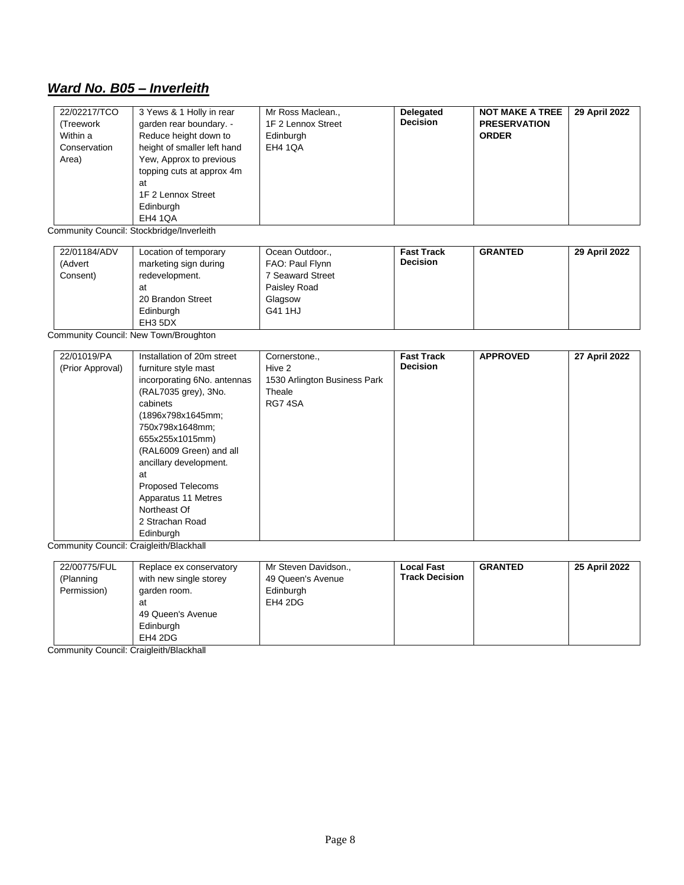## <span id="page-7-0"></span>*Ward No. B05 – Inverleith*

| 22/02217/TCO<br>(Treework<br>Within a<br>Conservation<br>Area) | 3 Yews & 1 Holly in rear<br>garden rear boundary. -<br>Reduce height down to<br>height of smaller left hand<br>Yew, Approx to previous<br>topping cuts at approx 4m<br>at<br>1F 2 Lennox Street<br>Edinburgh<br><b>EH4 1QA</b> | Mr Ross Maclean.,<br>1F 2 Lennox Street<br>Edinburgh<br><b>EH4 1QA</b> | Delegated<br><b>Decision</b> | <b>NOT MAKE A TREE</b><br><b>PRESERVATION</b><br><b>ORDER</b> | 29 April 2022 |
|----------------------------------------------------------------|--------------------------------------------------------------------------------------------------------------------------------------------------------------------------------------------------------------------------------|------------------------------------------------------------------------|------------------------------|---------------------------------------------------------------|---------------|
|----------------------------------------------------------------|--------------------------------------------------------------------------------------------------------------------------------------------------------------------------------------------------------------------------------|------------------------------------------------------------------------|------------------------------|---------------------------------------------------------------|---------------|

Community Council: Stockbridge/Inverleith

| 22/01184/ADV<br>(Advert<br>Consent) | Location of temporary<br>marketing sign during<br>redevelopment.<br>at | Ocean Outdoor.,<br>FAO: Paul Flynn<br>7 Seaward Street<br>Paisley Road | <b>Fast Track</b><br><b>Decision</b> | <b>GRANTED</b> | 29 April 2022 |
|-------------------------------------|------------------------------------------------------------------------|------------------------------------------------------------------------|--------------------------------------|----------------|---------------|
|                                     | 20 Brandon Street<br>Edinburgh<br>EH3 5DX                              | Glagsow<br>G41 1HJ                                                     |                                      |                |               |

Community Council: New Town/Broughton

| 22/01019/PA      | Installation of 20m street  | Cornerstone.,                | <b>Fast Track</b> | <b>APPROVED</b> | 27 April 2022 |
|------------------|-----------------------------|------------------------------|-------------------|-----------------|---------------|
| (Prior Approval) | furniture style mast        | Hive 2                       | <b>Decision</b>   |                 |               |
|                  | incorporating 6No. antennas | 1530 Arlington Business Park |                   |                 |               |
|                  | (RAL7035 grey), 3No.        | Theale                       |                   |                 |               |
|                  | cabinets                    | RG74SA                       |                   |                 |               |
|                  | (1896x798x1645mm;           |                              |                   |                 |               |
|                  | 750x798x1648mm;             |                              |                   |                 |               |
|                  | 655x255x1015mm)             |                              |                   |                 |               |
|                  | (RAL6009 Green) and all     |                              |                   |                 |               |
|                  | ancillary development.      |                              |                   |                 |               |
|                  | at                          |                              |                   |                 |               |
|                  | <b>Proposed Telecoms</b>    |                              |                   |                 |               |
|                  | Apparatus 11 Metres         |                              |                   |                 |               |
|                  | Northeast Of                |                              |                   |                 |               |
|                  | 2 Strachan Road             |                              |                   |                 |               |
|                  | Edinburgh                   |                              |                   |                 |               |

Community Council: Craigleith/Blackhall

| 22/00775/FUL<br>(Planning<br>Permission) | Replace ex conservatory<br>with new single storey<br>garden room.<br>at<br>49 Queen's Avenue<br>Edinburgh<br>EH4 2DG | Mr Steven Davidson.,<br>49 Queen's Avenue<br>Edinburgh<br>EH4 2DG | <b>Local Fast</b><br><b>Track Decision</b> | <b>GRANTED</b> | 25 April 2022 |
|------------------------------------------|----------------------------------------------------------------------------------------------------------------------|-------------------------------------------------------------------|--------------------------------------------|----------------|---------------|
|------------------------------------------|----------------------------------------------------------------------------------------------------------------------|-------------------------------------------------------------------|--------------------------------------------|----------------|---------------|

Community Council: Craigleith/Blackhall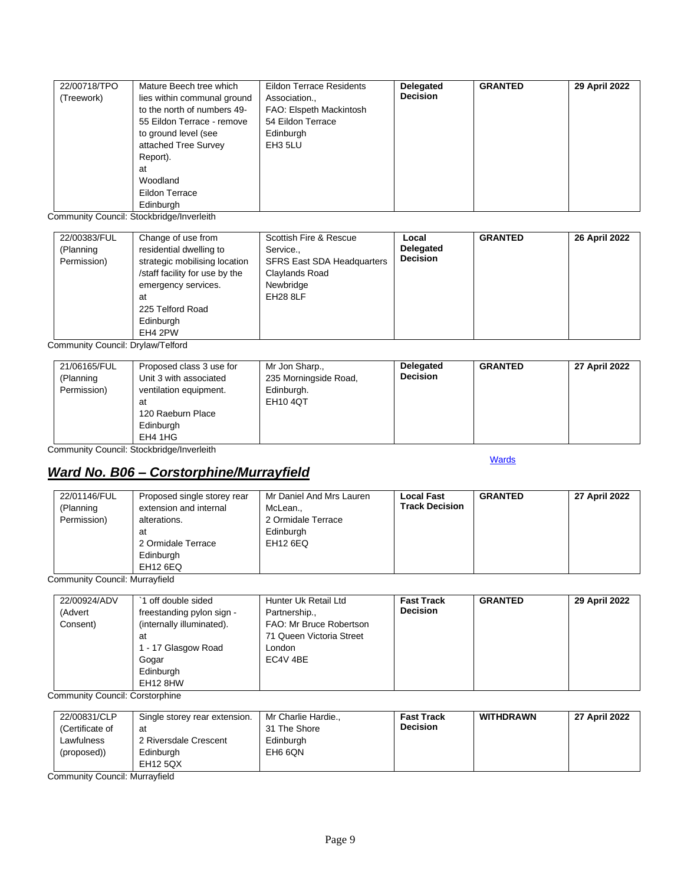| 22/00718/TPO | Mature Beech tree which     | <b>Eildon Terrace Residents</b> | <b>Delegated</b> | <b>GRANTED</b> | 29 April 2022 |
|--------------|-----------------------------|---------------------------------|------------------|----------------|---------------|
| (Treework)   | lies within communal ground | Association.,                   | <b>Decision</b>  |                |               |
|              | to the north of numbers 49- | FAO: Elspeth Mackintosh         |                  |                |               |
|              | 55 Eildon Terrace - remove  | 54 Eildon Terrace               |                  |                |               |
|              | to ground level (see        | Edinburgh                       |                  |                |               |
|              | attached Tree Survey        | EH3 5LU                         |                  |                |               |
|              | Report).                    |                                 |                  |                |               |
|              | at                          |                                 |                  |                |               |
|              | Woodland                    |                                 |                  |                |               |
|              | Eildon Terrace              |                                 |                  |                |               |
|              | Edinburgh                   |                                 |                  |                |               |

Community Council: Stockbridge/Inverleith

| 22/00383/FUL<br>(Planning<br>Permission) | Change of use from<br>residential dwelling to<br>strategic mobilising location<br>/staff facility for use by the<br>emergency services.<br>at<br>225 Telford Road<br>Edinburgh<br>EH4 2PW | Scottish Fire & Rescue<br>Service<br><b>SFRS East SDA Headquarters</b><br>Claylands Road<br>Newbridge<br>EH28 8LF | Local<br><b>Delegated</b><br><b>Decision</b> | <b>GRANTED</b> | 26 April 2022 |
|------------------------------------------|-------------------------------------------------------------------------------------------------------------------------------------------------------------------------------------------|-------------------------------------------------------------------------------------------------------------------|----------------------------------------------|----------------|---------------|
|------------------------------------------|-------------------------------------------------------------------------------------------------------------------------------------------------------------------------------------------|-------------------------------------------------------------------------------------------------------------------|----------------------------------------------|----------------|---------------|

Community Council: Drylaw/Telford

| 21/06165/FUL<br>Proposed class 3 use for<br>Unit 3 with associated<br>(Planning<br>Permission)<br>ventilation equipment.<br>at<br>120 Raeburn Place<br>Edinburgh<br>EH4 1HG | Mr Jon Sharp.,<br>235 Morningside Road,<br>Edinburgh.<br><b>EH10 4QT</b> | <b>Delegated</b><br><b>Decision</b> | <b>GRANTED</b> | 27 April 2022 |
|-----------------------------------------------------------------------------------------------------------------------------------------------------------------------------|--------------------------------------------------------------------------|-------------------------------------|----------------|---------------|
|-----------------------------------------------------------------------------------------------------------------------------------------------------------------------------|--------------------------------------------------------------------------|-------------------------------------|----------------|---------------|

Community Council: Stockbridge/Inverleith

## <span id="page-8-0"></span>*Ward No. B06 – Corstorphine/Murrayfield*

**[Wards](#page-0-0)** 

| 22/01146/FUL<br>(Planning<br>Permission) | Proposed single storey rear<br>extension and internal<br>alterations.<br>at<br>2 Ormidale Terrace<br>Edinburgh | Mr Daniel And Mrs Lauren<br>McLean.,<br>2 Ormidale Terrace<br>Edinburgh<br>EH12 6EQ | <b>Local Fast</b><br><b>Track Decision</b> | <b>GRANTED</b> | 27 April 2022 |
|------------------------------------------|----------------------------------------------------------------------------------------------------------------|-------------------------------------------------------------------------------------|--------------------------------------------|----------------|---------------|
|                                          | EH12 6EQ                                                                                                       |                                                                                     |                                            |                |               |

Community Council: Murrayfield

| 22/00924/ADV | off double sided          | Hunter Uk Retail Ltd     | <b>Fast Track</b> | <b>GRANTED</b> | 29 April 2022 |
|--------------|---------------------------|--------------------------|-------------------|----------------|---------------|
| (Advert      | freestanding pylon sign - | Partnership.,            | <b>Decision</b>   |                |               |
| Consent)     | (internally illuminated). | FAO: Mr Bruce Robertson  |                   |                |               |
|              | at                        | 71 Queen Victoria Street |                   |                |               |
|              | 1 - 17 Glasgow Road       | London                   |                   |                |               |
|              | Gogar                     | EC4V 4BE                 |                   |                |               |
|              | Edinburgh                 |                          |                   |                |               |
|              | EH12 8HW                  |                          |                   |                |               |

Community Council: Corstorphine

| 22/00831/CLP    | Single storey rear extension. | Mr Charlie Hardie., | <b>Fast Track</b> | <b>WITHDRAWN</b> | 27 April 2022 |
|-----------------|-------------------------------|---------------------|-------------------|------------------|---------------|
| (Certificate of | at                            | 31 The Shore        | <b>Decision</b>   |                  |               |
| Lawfulness      | 2 Riversdale Crescent         | Edinburgh           |                   |                  |               |
| (proposed))     | Edinburgh                     | EH6 6QN             |                   |                  |               |
|                 | EH12 5QX                      |                     |                   |                  |               |

Community Council: Murrayfield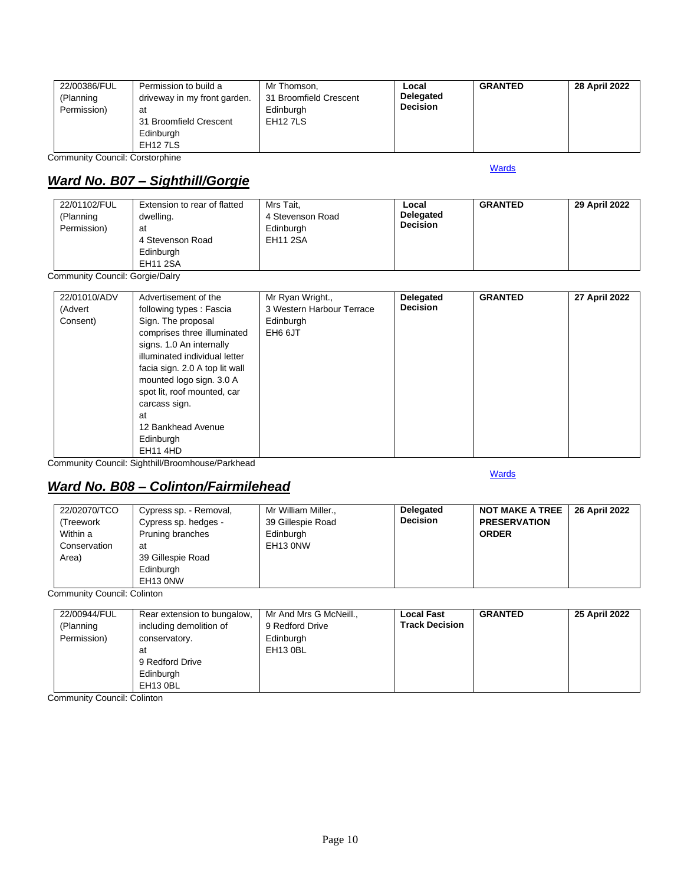| 22/00386/FUL<br>Permission to build a<br>driveway in my front garden.<br>(Planning<br>Permission)<br>at<br>31 Broomfield Crescent<br>Edinburgh<br>EH <sub>12</sub> 7LS | Mr Thomson,<br>31 Broomfield Crescent<br>Edinburgh<br>EH <sub>12</sub> 7LS | Local<br><b>Delegated</b><br><b>Decision</b> | <b>GRANTED</b> | 28 April 2022 |
|------------------------------------------------------------------------------------------------------------------------------------------------------------------------|----------------------------------------------------------------------------|----------------------------------------------|----------------|---------------|
|------------------------------------------------------------------------------------------------------------------------------------------------------------------------|----------------------------------------------------------------------------|----------------------------------------------|----------------|---------------|

Community Council: Corstorphine

## <span id="page-9-0"></span>*Ward No. B07 – Sighthill/Gorgie*

| 22/01102/FUL<br>(Planning<br>Permission) | Extension to rear of flatted<br>dwelling.<br>at<br>4 Stevenson Road<br>Edinburgh<br>EH11 2SA | Mrs Tait.<br>4 Stevenson Road<br>Edinburgh<br><b>EH11 2SA</b> | Local<br><b>Delegated</b><br><b>Decision</b> | <b>GRANTED</b> | 29 April 2022 |
|------------------------------------------|----------------------------------------------------------------------------------------------|---------------------------------------------------------------|----------------------------------------------|----------------|---------------|
|------------------------------------------|----------------------------------------------------------------------------------------------|---------------------------------------------------------------|----------------------------------------------|----------------|---------------|

Community Council: Gorgie/Dalry

| 22/01010/ADV<br>(Advert<br>Consent) | Advertisement of the<br>following types: Fascia<br>Sign. The proposal<br>comprises three illuminated<br>signs. 1.0 An internally | Mr Ryan Wright.,<br>3 Western Harbour Terrace<br>Edinburgh<br>EH6 6JT | Delegated<br><b>Decision</b> | <b>GRANTED</b> | 27 April 2022 |
|-------------------------------------|----------------------------------------------------------------------------------------------------------------------------------|-----------------------------------------------------------------------|------------------------------|----------------|---------------|
|                                     | illuminated individual letter<br>facia sign. 2.0 A top lit wall<br>mounted logo sign. 3.0 A<br>spot lit, roof mounted, car       |                                                                       |                              |                |               |
|                                     | carcass sign.<br>at<br>12 Bankhead Avenue<br>Edinburgh<br><b>EH11 4HD</b>                                                        |                                                                       |                              |                |               |

Community Council: Sighthill/Broomhouse/Parkhead

#### <span id="page-9-1"></span>*Ward No. B08 – Colinton/Fairmilehead*

22/02070/TCO (Treework Within a Conservation Area) Cypress sp. - Removal, Cypress sp. hedges - Pruning branches at 39 Gillespie Road Edinburgh EH13 0NW Mr William Miller., 39 Gillespie Road Edinburgh EH13 0NW **Delegated Decision NOT MAKE A TREE PRESERVATION ORDER 26 April 2022**

Community Council: Colinton

| 22/00944/FUL | Rear extension to bungalow, | Mr And Mrs G McNeill., | <b>Local Fast</b>     | <b>GRANTED</b> | 25 April 2022 |
|--------------|-----------------------------|------------------------|-----------------------|----------------|---------------|
| (Planning    | including demolition of     | 9 Redford Drive        | <b>Track Decision</b> |                |               |
| Permission)  | conservatory.               | Edinburgh              |                       |                |               |
|              | at                          | EH13 0BL               |                       |                |               |
|              | 9 Redford Drive             |                        |                       |                |               |
|              | Edinburgh                   |                        |                       |                |               |
|              | EH13 0BL                    |                        |                       |                |               |

Community Council: Colinton

#### [Wards](#page-0-0)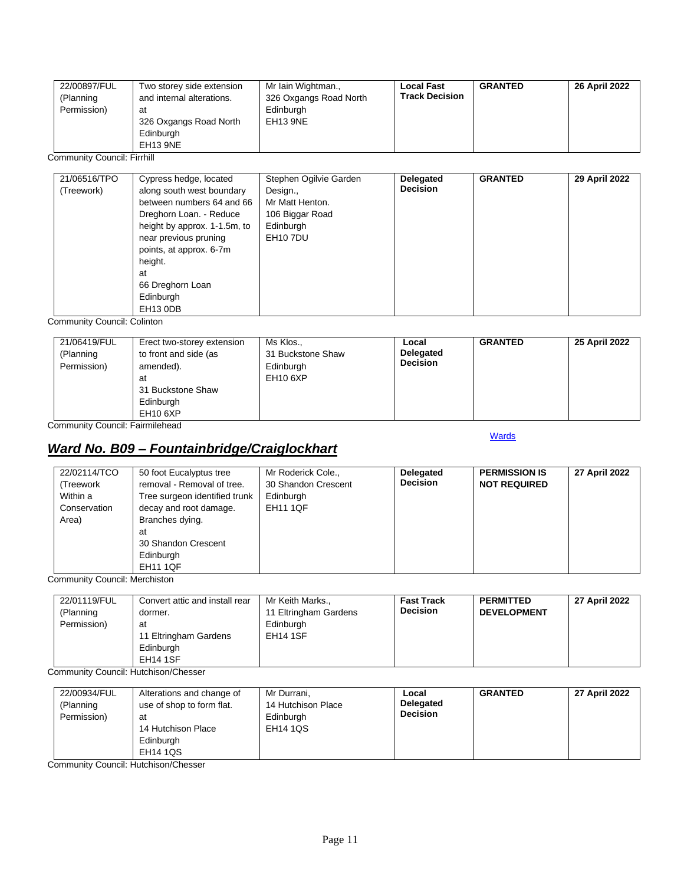| 22/00897/FUL<br>(Planning<br>Permission) | Two storey side extension<br>and internal alterations.<br>at<br>326 Oxgangs Road North<br>Edinburgh<br>EH13 9NE | Mr Iain Wightman.,<br>326 Oxgangs Road North<br>Edinburgh<br>EH13 9NE | <b>Local Fast</b><br><b>Track Decision</b> | <b>GRANTED</b> | 26 April 2022 |
|------------------------------------------|-----------------------------------------------------------------------------------------------------------------|-----------------------------------------------------------------------|--------------------------------------------|----------------|---------------|
|------------------------------------------|-----------------------------------------------------------------------------------------------------------------|-----------------------------------------------------------------------|--------------------------------------------|----------------|---------------|

Community Council: Firrhill

| 21/06516/TPO<br>(Treework) | Cypress hedge, located<br>along south west boundary<br>between numbers 64 and 66<br>Dreghorn Loan. - Reduce<br>height by approx. 1-1.5m, to<br>near previous pruning<br>points, at approx. 6-7m<br>height.<br>at | Stephen Ogilvie Garden<br>Design.,<br>Mr Matt Henton.<br>106 Biggar Road<br>Edinburgh<br><b>EH10 7DU</b> | Delegated<br><b>Decision</b> | <b>GRANTED</b> | 29 April 2022 |
|----------------------------|------------------------------------------------------------------------------------------------------------------------------------------------------------------------------------------------------------------|----------------------------------------------------------------------------------------------------------|------------------------------|----------------|---------------|
|                            | 66 Dreghorn Loan<br>Edinburgh<br>EH13 ODB                                                                                                                                                                        |                                                                                                          |                              |                |               |

Community Council: Colinton

| 21/06419/FUL<br>(Planning<br>Permission) | Erect two-storey extension<br>to front and side (as<br>amended).<br>at<br>31 Buckstone Shaw<br>Edinburgh<br><b>EH10 6XP</b> | Ms Klos.,<br>31 Buckstone Shaw<br>Edinburgh<br><b>EH10 6XP</b> | Local<br><b>Delegated</b><br><b>Decision</b> | <b>GRANTED</b> | 25 April 2022 |
|------------------------------------------|-----------------------------------------------------------------------------------------------------------------------------|----------------------------------------------------------------|----------------------------------------------|----------------|---------------|
|------------------------------------------|-----------------------------------------------------------------------------------------------------------------------------|----------------------------------------------------------------|----------------------------------------------|----------------|---------------|

Community Council: Fairmilehead

#### **[Wards](#page-0-0)**

## <span id="page-10-0"></span>*Ward No. B09 – Fountainbridge/Craiglockhart*

| 22/02114/TCO<br>(Treework<br>Within a<br>Conservation<br>Area) | 50 foot Eucalyptus tree<br>removal - Removal of tree.<br>Tree surgeon identified trunk<br>decay and root damage.<br>Branches dying.<br>at<br>30 Shandon Crescent<br>Edinburgh | Mr Roderick Cole.,<br>30 Shandon Crescent<br>Edinburgh<br><b>EH11 1QF</b> | Delegated<br><b>Decision</b> | <b>PERMISSION IS</b><br><b>NOT REQUIRED</b> | 27 April 2022 |
|----------------------------------------------------------------|-------------------------------------------------------------------------------------------------------------------------------------------------------------------------------|---------------------------------------------------------------------------|------------------------------|---------------------------------------------|---------------|
|                                                                | <b>EH11 1QF</b>                                                                                                                                                               |                                                                           |                              |                                             |               |

Community Council: Merchiston

| 22/01119/FUL<br>(Planning<br>Permission) | Convert attic and install rear<br>dormer.<br>at<br>11 Eltringham Gardens<br>Edinburgh<br><b>EH14 1SF</b> | Mr Keith Marks.,<br>11 Eltringham Gardens<br>Edinburgh<br><b>EH14 1SF</b> | <b>Fast Track</b><br><b>Decision</b> | <b>PERMITTED</b><br><b>DEVELOPMENT</b> | 27 April 2022 |
|------------------------------------------|----------------------------------------------------------------------------------------------------------|---------------------------------------------------------------------------|--------------------------------------|----------------------------------------|---------------|
|------------------------------------------|----------------------------------------------------------------------------------------------------------|---------------------------------------------------------------------------|--------------------------------------|----------------------------------------|---------------|

Community Council: Hutchison/Chesser

| 22/00934/FUL<br>(Planning<br>Permission) | Alterations and change of<br>use of shop to form flat.<br>at<br>14 Hutchison Place<br>Edinburgh<br><b>EH14 1QS</b> | Mr Durrani,<br>14 Hutchison Place<br>Edinburgh<br><b>EH14 1QS</b> | Local<br><b>Delegated</b><br><b>Decision</b> | <b>GRANTED</b> | 27 April 2022 |
|------------------------------------------|--------------------------------------------------------------------------------------------------------------------|-------------------------------------------------------------------|----------------------------------------------|----------------|---------------|
|------------------------------------------|--------------------------------------------------------------------------------------------------------------------|-------------------------------------------------------------------|----------------------------------------------|----------------|---------------|

Community Council: Hutchison/Chesser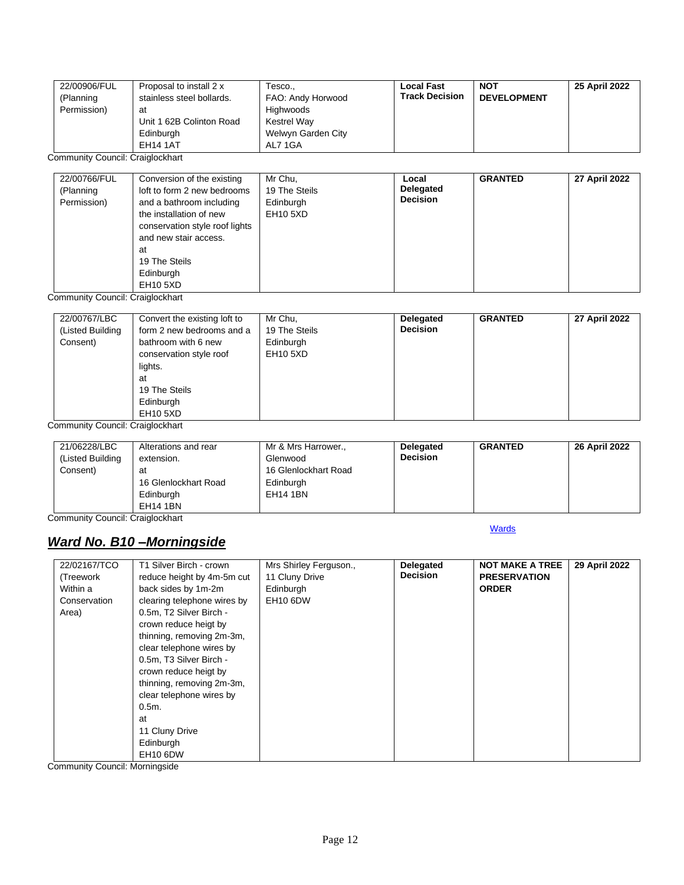| 22/00906/FUL | Proposal to install 2 x   | Tesco              | <b>Local Fast</b>     | <b>NOT</b>         | 25 April 2022 |
|--------------|---------------------------|--------------------|-----------------------|--------------------|---------------|
| (Planning    | stainless steel bollards. | FAO: Andy Horwood  | <b>Track Decision</b> | <b>DEVELOPMENT</b> |               |
| Permission)  | at                        | Highwoods          |                       |                    |               |
|              | Unit 1 62B Colinton Road  | Kestrel Way        |                       |                    |               |
|              | Edinburgh                 | Welwyn Garden City |                       |                    |               |
|              | <b>EH14 1AT</b>           | AL7 1GA            |                       |                    |               |

Community Council: Craiglockhart

| 22/00766/FUL<br>(Planning<br>Permission) | Conversion of the existing<br>loft to form 2 new bedrooms<br>and a bathroom including<br>the installation of new<br>conservation style roof lights<br>and new stair access.<br>at<br>19 The Steils<br>Edinburgh<br>EH10 5XD | Mr Chu,<br>19 The Steils<br>Edinburgh<br><b>EH10 5XD</b> | Local<br>Delegated<br><b>Decision</b> | <b>GRANTED</b> | 27 April 2022 |
|------------------------------------------|-----------------------------------------------------------------------------------------------------------------------------------------------------------------------------------------------------------------------------|----------------------------------------------------------|---------------------------------------|----------------|---------------|
|------------------------------------------|-----------------------------------------------------------------------------------------------------------------------------------------------------------------------------------------------------------------------------|----------------------------------------------------------|---------------------------------------|----------------|---------------|

Community Council: Craiglockhart

| 22/00767/LBC<br>(Listed Building<br>Consent) | Convert the existing loft to<br>form 2 new bedrooms and a<br>bathroom with 6 new<br>conservation style roof<br>lights.<br>at<br>19 The Steils<br>Edinburgh<br>EH10 5XD | Mr Chu,<br>19 The Steils<br>Edinburgh<br><b>EH10 5XD</b> | <b>Delegated</b><br><b>Decision</b> | <b>GRANTED</b> | 27 April 2022 |
|----------------------------------------------|------------------------------------------------------------------------------------------------------------------------------------------------------------------------|----------------------------------------------------------|-------------------------------------|----------------|---------------|
|----------------------------------------------|------------------------------------------------------------------------------------------------------------------------------------------------------------------------|----------------------------------------------------------|-------------------------------------|----------------|---------------|

Community Council: Craiglockhart

|  | 21/06228/LBC<br>(Listed Building)<br>Consent) | Alterations and rear<br>extension.<br>at<br>16 Glenlockhart Road<br>Edinburgh<br><b>EH14 1BN</b> | Mr & Mrs Harrower.,<br>Glenwood<br>16 Glenlockhart Road<br>Edinburgh<br><b>EH14 1BN</b> | Delegated<br><b>Decision</b> | <b>GRANTED</b> | 26 April 2022 |
|--|-----------------------------------------------|--------------------------------------------------------------------------------------------------|-----------------------------------------------------------------------------------------|------------------------------|----------------|---------------|
|--|-----------------------------------------------|--------------------------------------------------------------------------------------------------|-----------------------------------------------------------------------------------------|------------------------------|----------------|---------------|

**[Wards](#page-0-0)** 

Community Council: Craiglockhart

## <span id="page-11-0"></span>*Ward No. B10 –Morningside*

| 22/02167/TCO | T1 Silver Birch - crown     | Mrs Shirley Ferguson., | Delegated       | <b>NOT MAKE A TREE</b> | 29 April 2022 |
|--------------|-----------------------------|------------------------|-----------------|------------------------|---------------|
| (Treework    | reduce height by 4m-5m cut  | 11 Cluny Drive         | <b>Decision</b> | <b>PRESERVATION</b>    |               |
| Within a     | back sides by 1m-2m         | Edinburgh              |                 | <b>ORDER</b>           |               |
| Conservation | clearing telephone wires by | <b>EH10 6DW</b>        |                 |                        |               |
| Area)        | 0.5m, T2 Silver Birch -     |                        |                 |                        |               |
|              | crown reduce heigt by       |                        |                 |                        |               |
|              | thinning, removing 2m-3m,   |                        |                 |                        |               |
|              | clear telephone wires by    |                        |                 |                        |               |
|              | 0.5m, T3 Silver Birch -     |                        |                 |                        |               |
|              | crown reduce heigt by       |                        |                 |                        |               |
|              | thinning, removing 2m-3m,   |                        |                 |                        |               |
|              | clear telephone wires by    |                        |                 |                        |               |
|              | $0.5m$ .                    |                        |                 |                        |               |
|              | at                          |                        |                 |                        |               |
|              | 11 Cluny Drive              |                        |                 |                        |               |
|              | Edinburgh                   |                        |                 |                        |               |
|              | <b>EH10 6DW</b>             |                        |                 |                        |               |

Community Council: Morningside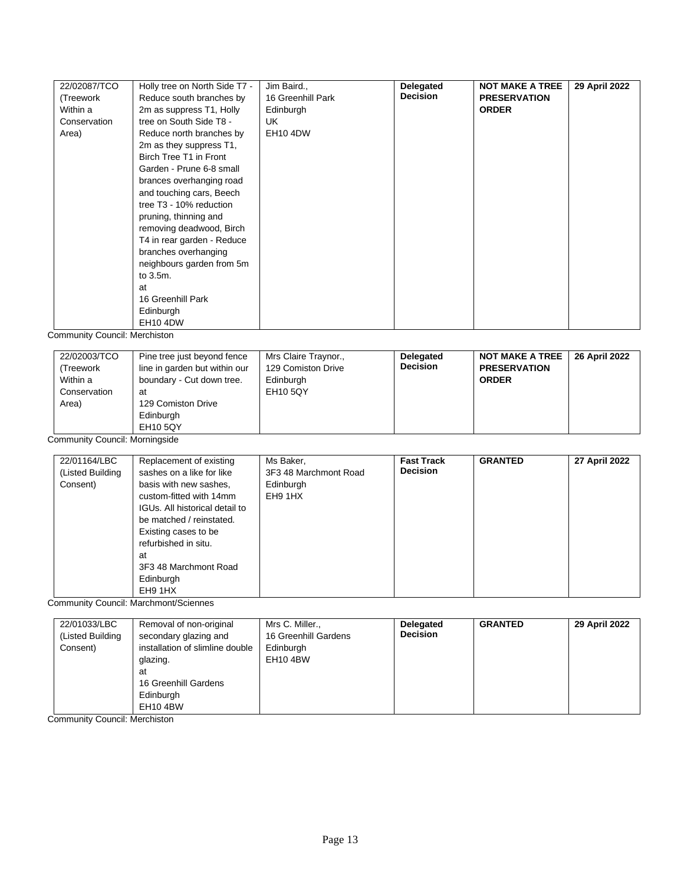| 22/02087/TCO | Holly tree on North Side T7 - | Jim Baird.,       | Delegated       | <b>NOT MAKE A TREE</b> | 29 April 2022 |
|--------------|-------------------------------|-------------------|-----------------|------------------------|---------------|
| (Treework    | Reduce south branches by      | 16 Greenhill Park | <b>Decision</b> | <b>PRESERVATION</b>    |               |
| Within a     | 2m as suppress T1, Holly      | Edinburgh         |                 | <b>ORDER</b>           |               |
| Conservation | tree on South Side T8 -       | UK.               |                 |                        |               |
| Area)        | Reduce north branches by      | <b>EH10 4DW</b>   |                 |                        |               |
|              | 2m as they suppress T1,       |                   |                 |                        |               |
|              | Birch Tree T1 in Front        |                   |                 |                        |               |
|              | Garden - Prune 6-8 small      |                   |                 |                        |               |
|              | brances overhanging road      |                   |                 |                        |               |
|              | and touching cars, Beech      |                   |                 |                        |               |
|              | tree T3 - 10% reduction       |                   |                 |                        |               |
|              | pruning, thinning and         |                   |                 |                        |               |
|              | removing deadwood, Birch      |                   |                 |                        |               |
|              | T4 in rear garden - Reduce    |                   |                 |                        |               |
|              | branches overhanging          |                   |                 |                        |               |
|              | neighbours garden from 5m     |                   |                 |                        |               |
|              | to 3.5m.                      |                   |                 |                        |               |
|              | at                            |                   |                 |                        |               |
|              | 16 Greenhill Park             |                   |                 |                        |               |
|              | Edinburgh                     |                   |                 |                        |               |
|              | <b>EH10 4DW</b>               |                   |                 |                        |               |

Community Council: Merchiston

| 22/02003/TCO<br>(Treework<br>Within a<br>Conservation<br>Area) | Pine tree just beyond fence<br>line in garden but within our<br>boundary - Cut down tree.<br>at<br>129 Comiston Drive<br>Edinburgh<br>EH10 5QY | Mrs Claire Traynor.,<br>129 Comiston Drive<br>Edinburgh<br><b>EH10 5QY</b> | <b>Delegated</b><br><b>Decision</b> | <b>NOT MAKE A TREE</b><br><b>PRESERVATION</b><br><b>ORDER</b> | 26 April 2022 |
|----------------------------------------------------------------|------------------------------------------------------------------------------------------------------------------------------------------------|----------------------------------------------------------------------------|-------------------------------------|---------------------------------------------------------------|---------------|
|----------------------------------------------------------------|------------------------------------------------------------------------------------------------------------------------------------------------|----------------------------------------------------------------------------|-------------------------------------|---------------------------------------------------------------|---------------|

Community Council: Morningside

| 22/01164/LBC     | Replacement of existing        | Ms Baker,             | <b>Fast Track</b> | <b>GRANTED</b> | 27 April 2022 |
|------------------|--------------------------------|-----------------------|-------------------|----------------|---------------|
| (Listed Building | sashes on a like for like      | 3F3 48 Marchmont Road | <b>Decision</b>   |                |               |
| Consent)         | basis with new sashes,         | Edinburgh             |                   |                |               |
|                  | custom-fitted with 14mm        | EH9 1HX               |                   |                |               |
|                  | IGUs. All historical detail to |                       |                   |                |               |
|                  | be matched / reinstated.       |                       |                   |                |               |
|                  | Existing cases to be           |                       |                   |                |               |
|                  | refurbished in situ.           |                       |                   |                |               |
|                  | at                             |                       |                   |                |               |
|                  | 3F3 48 Marchmont Road          |                       |                   |                |               |
|                  | Edinburgh                      |                       |                   |                |               |
|                  | EH9 1HX                        |                       |                   |                |               |

Community Council: Marchmont/Sciennes

| 22/01033/LBC     | Removal of non-original         | Mrs C. Miller.,      | Delegated       | <b>GRANTED</b> | 29 April 2022 |
|------------------|---------------------------------|----------------------|-----------------|----------------|---------------|
| (Listed Building | secondary glazing and           | 16 Greenhill Gardens | <b>Decision</b> |                |               |
| Consent)         | installation of slimline double | Edinburgh            |                 |                |               |
|                  | glazing.                        | EH10 4BW             |                 |                |               |
|                  | at                              |                      |                 |                |               |
|                  | 16 Greenhill Gardens            |                      |                 |                |               |
|                  | Edinburgh                       |                      |                 |                |               |
|                  | EH10 4BW                        |                      |                 |                |               |

Community Council: Merchiston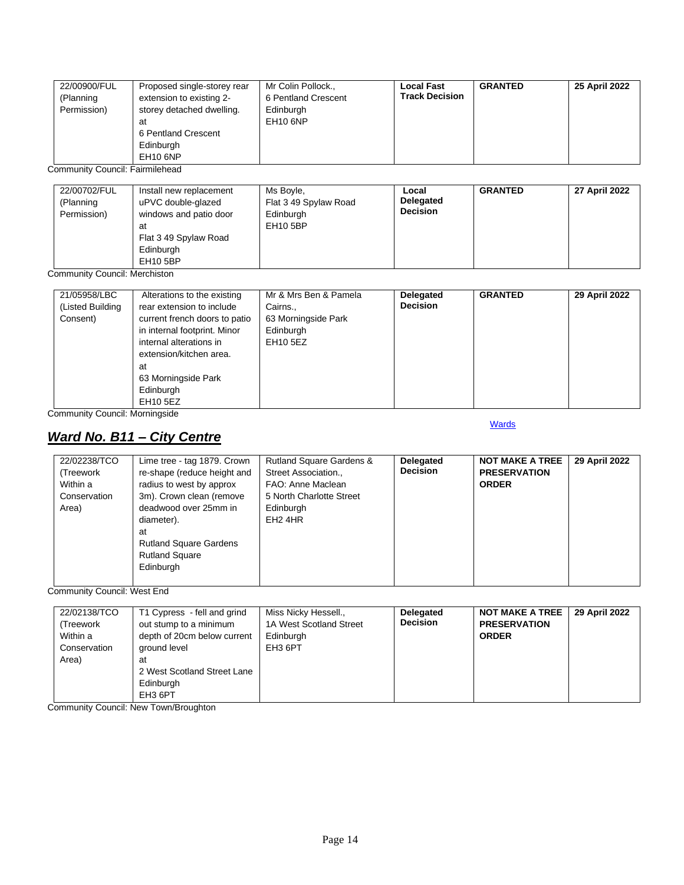| 22/00900/FUL | Proposed single-storey rear | Mr Colin Pollock.,  | <b>Local Fast</b>     | <b>GRANTED</b> | 25 April 2022 |
|--------------|-----------------------------|---------------------|-----------------------|----------------|---------------|
| (Planning    | extension to existing 2-    | 6 Pentland Crescent | <b>Track Decision</b> |                |               |
| Permission)  | storey detached dwelling.   | Edinburgh           |                       |                |               |
|              | at                          | <b>EH10 6NP</b>     |                       |                |               |
|              | 6 Pentland Crescent         |                     |                       |                |               |
|              | Edinburgh                   |                     |                       |                |               |
|              | <b>EH10 6NP</b>             |                     |                       |                |               |

Community Council: Fairmilehead

| 22/00702/FUL<br>(Planning<br>Permission) | Install new replacement<br>uPVC double-glazed<br>windows and patio door<br>at<br>Flat 3 49 Spylaw Road<br>Edinburgh<br><b>EH10 5BP</b> | Ms Boyle,<br>Flat 3 49 Spylaw Road<br>Edinburgh<br><b>EH10 5BP</b> | Local<br>Delegated<br><b>Decision</b> | <b>GRANTED</b> | 27 April 2022 |
|------------------------------------------|----------------------------------------------------------------------------------------------------------------------------------------|--------------------------------------------------------------------|---------------------------------------|----------------|---------------|
|------------------------------------------|----------------------------------------------------------------------------------------------------------------------------------------|--------------------------------------------------------------------|---------------------------------------|----------------|---------------|

Community Council: Merchiston

| 21/05958/LBC<br>(Listed Building<br>Consent) | Alterations to the existing<br>rear extension to include<br>current french doors to patio<br>in internal footprint. Minor<br>internal alterations in<br>extension/kitchen area.<br>at<br>63 Morningside Park<br>Edinburgh | Mr & Mrs Ben & Pamela<br>Cairns.,<br>63 Morningside Park<br>Edinburgh<br>EH10 5EZ | <b>Delegated</b><br><b>Decision</b> | <b>GRANTED</b> | 29 April 2022 |
|----------------------------------------------|---------------------------------------------------------------------------------------------------------------------------------------------------------------------------------------------------------------------------|-----------------------------------------------------------------------------------|-------------------------------------|----------------|---------------|
|                                              | EH10 5EZ                                                                                                                                                                                                                  |                                                                                   |                                     |                |               |

Community Council: Morningside

# <span id="page-13-0"></span>*Ward No. B11 – City Centre*

#### **[Wards](#page-0-0)**

| 22/02238/TCO<br>(Treework<br>Within a<br>Conservation<br>Area) | Lime tree - tag 1879. Crown<br>re-shape (reduce height and<br>radius to west by approx<br>3m). Crown clean (remove<br>deadwood over 25mm in | <b>Rutland Square Gardens &amp;</b><br>Street Association.,<br>FAO: Anne Maclean<br>5 North Charlotte Street<br>Edinburgh | Delegated<br><b>Decision</b> | <b>NOT MAKE A TREE</b><br><b>PRESERVATION</b><br><b>ORDER</b> | 29 April 2022 |
|----------------------------------------------------------------|---------------------------------------------------------------------------------------------------------------------------------------------|---------------------------------------------------------------------------------------------------------------------------|------------------------------|---------------------------------------------------------------|---------------|
|                                                                | diameter).<br>at<br><b>Rutland Square Gardens</b><br><b>Rutland Square</b><br>Edinburgh                                                     | EH <sub>2</sub> 4HR                                                                                                       |                              |                                                               |               |
|                                                                |                                                                                                                                             |                                                                                                                           |                              |                                                               |               |

Community Council: West End

| EH3 6PT | 22/02138/TCO<br>(Treework<br>Within a<br>Conservation<br>Area) | T1 Cypress - fell and grind<br>out stump to a minimum<br>depth of 20cm below current<br>ground level<br>at<br>2 West Scotland Street Lane<br>Edinburgh | Miss Nicky Hessell.,<br>1A West Scotland Street<br>Edinburgh<br>EH3 6PT | <b>Delegated</b><br><b>Decision</b> | <b>NOT MAKE A TREE</b><br><b>PRESERVATION</b><br><b>ORDER</b> | 29 April 2022 |
|---------|----------------------------------------------------------------|--------------------------------------------------------------------------------------------------------------------------------------------------------|-------------------------------------------------------------------------|-------------------------------------|---------------------------------------------------------------|---------------|
|---------|----------------------------------------------------------------|--------------------------------------------------------------------------------------------------------------------------------------------------------|-------------------------------------------------------------------------|-------------------------------------|---------------------------------------------------------------|---------------|

Community Council: New Town/Broughton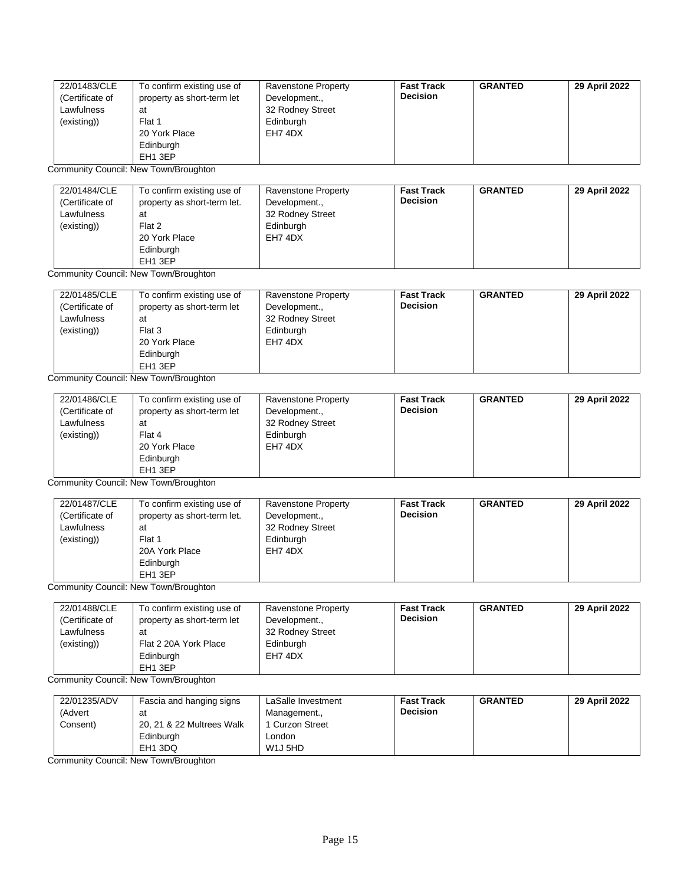| 22/01483/CLE    | To confirm existing use of | Ravenstone Property | <b>Fast Track</b> | <b>GRANTED</b> | 29 April 2022 |
|-----------------|----------------------------|---------------------|-------------------|----------------|---------------|
| (Certificate of | property as short-term let | Development.,       | <b>Decision</b>   |                |               |
| Lawfulness      | at                         | 32 Rodney Street    |                   |                |               |
| (existing))     | Flat 1                     | Edinburgh           |                   |                |               |
|                 | 20 York Place              | EH7 4DX             |                   |                |               |
|                 | Edinburgh                  |                     |                   |                |               |
|                 | EH1 3EP                    |                     |                   |                |               |

Community Council: New Town/Broughton

| 22/01484/CLE    | To confirm existing use of  | <b>Ravenstone Property</b> | <b>Fast Track</b> | <b>GRANTED</b> | 29 April 2022 |
|-----------------|-----------------------------|----------------------------|-------------------|----------------|---------------|
| (Certificate of | property as short-term let. | Development.,              | <b>Decision</b>   |                |               |
| Lawfulness      | at                          | 32 Rodney Street           |                   |                |               |
| (existing))     | Flat 2                      | Edinburgh                  |                   |                |               |
|                 | 20 York Place               | EH7 4DX                    |                   |                |               |
|                 | Edinburgh                   |                            |                   |                |               |
|                 | EH <sub>1</sub> 3EP         |                            |                   |                |               |

Community Council: New Town/Broughton

| 22/01485/CLE<br>(Certificate of<br>Lawfulness<br>(existing)) | To confirm existing use of<br>property as short-term let<br>at<br>Flat 3<br>20 York Place | Ravenstone Property<br>Development.,<br>32 Rodney Street<br>Edinburgh<br>EH7 4DX | <b>Fast Track</b><br><b>Decision</b> | <b>GRANTED</b> | 29 April 2022 |
|--------------------------------------------------------------|-------------------------------------------------------------------------------------------|----------------------------------------------------------------------------------|--------------------------------------|----------------|---------------|
|                                                              | Edinburgh<br>EH1 3EP                                                                      |                                                                                  |                                      |                |               |

Community Council: New Town/Broughton

| 22/01486/CLE    | To confirm existing use of | Ravenstone Property | <b>Fast Track</b> | <b>GRANTED</b> | 29 April 2022 |
|-----------------|----------------------------|---------------------|-------------------|----------------|---------------|
| (Certificate of | property as short-term let | Development.,       | <b>Decision</b>   |                |               |
| Lawfulness      | at                         | 32 Rodney Street    |                   |                |               |
| (existing))     | Flat 4                     | Edinburgh           |                   |                |               |
|                 | 20 York Place              | EH7 4DX             |                   |                |               |
|                 | Edinburgh                  |                     |                   |                |               |
|                 | EH1 3EP                    |                     |                   |                |               |

Community Council: New Town/Broughton

| 22/01487/CLE    | To confirm existing use of  | Ravenstone Property | <b>Fast Track</b> | <b>GRANTED</b> | 29 April 2022 |
|-----------------|-----------------------------|---------------------|-------------------|----------------|---------------|
| (Certificate of | property as short-term let. | Development.,       | <b>Decision</b>   |                |               |
| Lawfulness      | at                          | 32 Rodney Street    |                   |                |               |
| (existing))     | Flat 1                      | Edinburgh           |                   |                |               |
|                 | 20A York Place              | EH7 4DX             |                   |                |               |
|                 | Edinburgh                   |                     |                   |                |               |
|                 | EH <sub>1</sub> 3EP         |                     |                   |                |               |

Community Council: New Town/Broughton

| 22/01488/CLE    | To confirm existing use of | <b>Ravenstone Property</b> | <b>Fast Track</b> | <b>GRANTED</b> | 29 April 2022 |
|-----------------|----------------------------|----------------------------|-------------------|----------------|---------------|
| (Certificate of | property as short-term let | Development.,              | <b>Decision</b>   |                |               |
| Lawfulness      | at                         | 32 Rodney Street           |                   |                |               |
| (existing))     | Flat 2 20A York Place      | Edinburgh                  |                   |                |               |
|                 | Edinburgh                  | EH7 4DX                    |                   |                |               |
|                 | EH <sub>1</sub> 3EP        |                            |                   |                |               |

Community Council: New Town/Broughton

| 22/01235/ADV | Fascia and hanging signs  | LaSalle Investment               | <b>Fast Track</b> | <b>GRANTED</b> | 29 April 2022 |
|--------------|---------------------------|----------------------------------|-------------------|----------------|---------------|
| (Advert      | at                        | Management.,                     | <b>Decision</b>   |                |               |
| Consent)     | 20, 21 & 22 Multrees Walk | 1 Curzon Street                  |                   |                |               |
|              | Edinburgh                 | London                           |                   |                |               |
|              | EH <sub>1</sub> 3DQ       | W <sub>1</sub> J <sub>5</sub> HD |                   |                |               |

Community Council: New Town/Broughton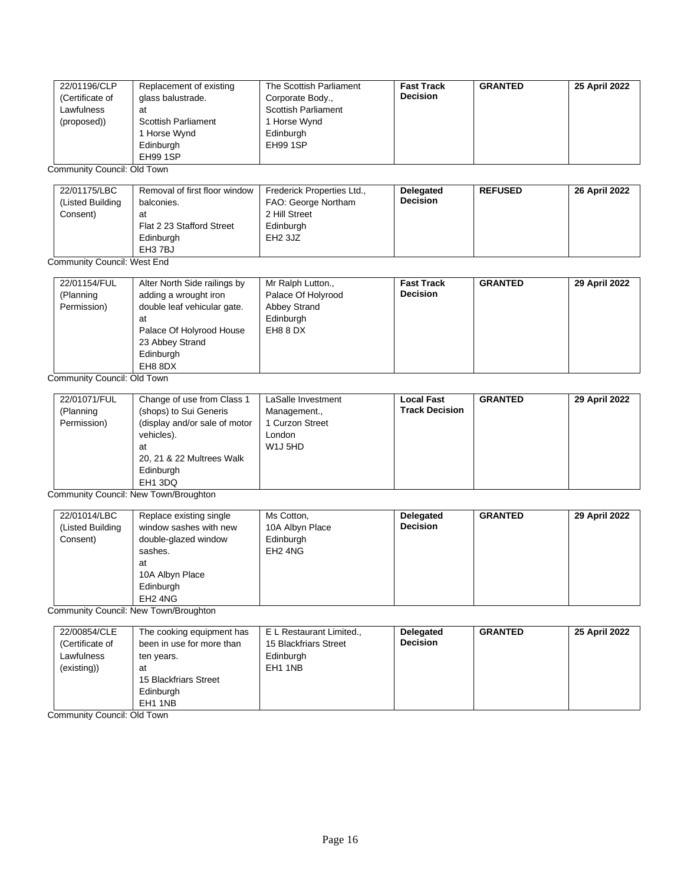| 22/01196/CLP    | Replacement of existing    | The Scottish Parliament    | <b>Fast Track</b> | <b>GRANTED</b> | 25 April 2022 |
|-----------------|----------------------------|----------------------------|-------------------|----------------|---------------|
| (Certificate of | glass balustrade.          | Corporate Body.,           | <b>Decision</b>   |                |               |
| Lawfulness      | at                         | <b>Scottish Parliament</b> |                   |                |               |
| (proposed))     | <b>Scottish Parliament</b> | Horse Wynd                 |                   |                |               |
|                 | Horse Wynd                 | Edinburgh                  |                   |                |               |
|                 | Edinburgh                  | EH99 1SP                   |                   |                |               |
|                 | EH99 1SP                   |                            |                   |                |               |

Community Council: Old Town

| 22/01175/LBC<br>(Listed Building<br>Consent) | Removal of first floor window<br>balconies.<br>at<br>Flat 2 23 Stafford Street | Frederick Properties Ltd.,<br>FAO: George Northam<br>2 Hill Street<br>Edinburgh | <b>Delegated</b><br><b>Decision</b> | <b>REFUSED</b> | 26 April 2022 |
|----------------------------------------------|--------------------------------------------------------------------------------|---------------------------------------------------------------------------------|-------------------------------------|----------------|---------------|
|                                              | Edinburgh<br>EH3 7BJ                                                           | EH <sub>2</sub> 3JZ                                                             |                                     |                |               |

#### Community Council: West End

| 22/01154/FUL<br>Alter North Side railings by<br>adding a wrought iron<br>(Planning<br>Permission)<br>double leaf vehicular gate.<br>at<br>Palace Of Holyrood House<br>23 Abbey Strand<br>Edinburgh<br>EH8 8DX | Mr Ralph Lutton.,<br>Palace Of Holyrood<br>Abbey Strand<br>Edinburgh<br>EH8 8 DX | <b>Fast Track</b><br><b>Decision</b> | <b>GRANTED</b> | 29 April 2022 |
|---------------------------------------------------------------------------------------------------------------------------------------------------------------------------------------------------------------|----------------------------------------------------------------------------------|--------------------------------------|----------------|---------------|
|---------------------------------------------------------------------------------------------------------------------------------------------------------------------------------------------------------------|----------------------------------------------------------------------------------|--------------------------------------|----------------|---------------|

Community Council: Old Town

| 22/01071/FUL<br>(Planning<br>Permission) | Change of use from Class 1<br>(shops) to Sui Generis<br>(display and/or sale of motor<br>vehicles).<br>at<br>20, 21 & 22 Multrees Walk<br>Edinburgh | LaSalle Investment<br>Management.,<br>1 Curzon Street<br>London<br>W <sub>1</sub> J <sub>5</sub> HD | <b>Local Fast</b><br><b>Track Decision</b> | <b>GRANTED</b> | 29 April 2022 |
|------------------------------------------|-----------------------------------------------------------------------------------------------------------------------------------------------------|-----------------------------------------------------------------------------------------------------|--------------------------------------------|----------------|---------------|
|                                          | EH <sub>1</sub> 3DQ                                                                                                                                 |                                                                                                     |                                            |                |               |

Community Council: New Town/Broughton

| 22/01014/LBC<br>Replace existing single<br>window sashes with new<br>(Listed Building<br>Consent)<br>double-glazed window<br>sashes.<br>at<br>10A Albyn Place<br>Edinburgh<br>EH <sub>2</sub> 4NG | Ms Cotton,<br>10A Albyn Place<br>Edinburgh<br>EH <sub>2</sub> 4NG | Delegated<br><b>Decision</b> | <b>GRANTED</b> | 29 April 2022 |
|---------------------------------------------------------------------------------------------------------------------------------------------------------------------------------------------------|-------------------------------------------------------------------|------------------------------|----------------|---------------|
|---------------------------------------------------------------------------------------------------------------------------------------------------------------------------------------------------|-------------------------------------------------------------------|------------------------------|----------------|---------------|

Community Council: New Town/Broughton

| 22/00854/CLE<br>(Certificate of<br>Lawfulness<br>(existing)) | The cooking equipment has<br>been in use for more than<br>ten years.<br>at<br>15 Blackfriars Street<br>Edinburgh | E L Restaurant Limited.,<br>15 Blackfriars Street<br>Edinburgh<br>EH1 1NB | Delegated<br><b>Decision</b> | <b>GRANTED</b> | 25 April 2022 |
|--------------------------------------------------------------|------------------------------------------------------------------------------------------------------------------|---------------------------------------------------------------------------|------------------------------|----------------|---------------|
|                                                              | EH1 1NB                                                                                                          |                                                                           |                              |                |               |

Community Council: Old Town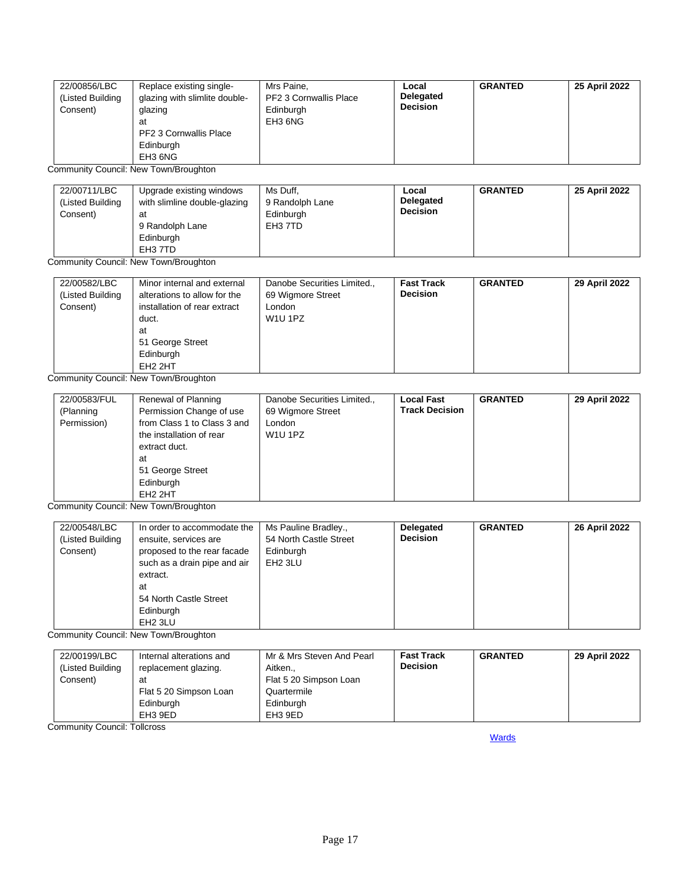| 22/00856/LBC<br>(Listed Building<br>Consent) | Replace existing single-<br>glazing with slimlite double-<br>glazing<br>at | Mrs Paine,<br>PF2 3 Cornwallis Place<br>Edinburgh<br>EH3 6NG | Local<br><b>Delegated</b><br><b>Decision</b> | <b>GRANTED</b> | 25 April 2022 |
|----------------------------------------------|----------------------------------------------------------------------------|--------------------------------------------------------------|----------------------------------------------|----------------|---------------|
|                                              | PF2 3 Cornwallis Place<br>Edinburgh<br>EH3 6NG                             |                                                              |                                              |                |               |

Community Council: New Town/Broughton

| 22/00711/LBC<br>(Listed Building<br>Consent) | Upgrade existing windows<br>with slimline double-glazing<br>at<br>9 Randolph Lane<br>Edinburgh<br>EH3 7TD | Ms Duff.<br>9 Randolph Lane<br>Edinburgh<br>EH3 7TD | Local<br><b>Delegated</b><br><b>Decision</b> | <b>GRANTED</b> | 25 April 2022 |
|----------------------------------------------|-----------------------------------------------------------------------------------------------------------|-----------------------------------------------------|----------------------------------------------|----------------|---------------|
|----------------------------------------------|-----------------------------------------------------------------------------------------------------------|-----------------------------------------------------|----------------------------------------------|----------------|---------------|

Community Council: New Town/Broughton

| 22/00582/LBC<br>Minor internal and external<br>(Listed Building<br>alterations to allow for the<br>Consent)<br>installation of rear extract<br>duct.<br>at<br>51 George Street<br>Edinburgh<br>EH <sub>2</sub> 2HT | Danobe Securities Limited.,<br>69 Wigmore Street<br>London<br>W <sub>1</sub> U <sub>1</sub> PZ | <b>Fast Track</b><br><b>Decision</b> | <b>GRANTED</b> | 29 April 2022 |
|--------------------------------------------------------------------------------------------------------------------------------------------------------------------------------------------------------------------|------------------------------------------------------------------------------------------------|--------------------------------------|----------------|---------------|
|--------------------------------------------------------------------------------------------------------------------------------------------------------------------------------------------------------------------|------------------------------------------------------------------------------------------------|--------------------------------------|----------------|---------------|

Community Council: New Town/Broughton

| 22/00583/FUL | Renewal of Planning         | Danobe Securities Limited., | <b>Local Fast</b>     | <b>GRANTED</b> | 29 April 2022 |
|--------------|-----------------------------|-----------------------------|-----------------------|----------------|---------------|
| (Planning    | Permission Change of use    | 69 Wigmore Street           | <b>Track Decision</b> |                |               |
| Permission)  | from Class 1 to Class 3 and | London                      |                       |                |               |
|              | the installation of rear    | <b>W1U 1PZ</b>              |                       |                |               |
|              | extract duct.               |                             |                       |                |               |
|              | at                          |                             |                       |                |               |
|              | 51 George Street            |                             |                       |                |               |
|              | Edinburgh                   |                             |                       |                |               |
|              | EH <sub>2</sub> 2HT         |                             |                       |                |               |

Community Council: New Town/Broughton

| 22/00548/LBC<br>In order to accommodate the<br>(Listed Building<br>ensuite, services are<br>Consent)<br>proposed to the rear facade<br>such as a drain pipe and air<br>extract.<br>at<br>54 North Castle Street<br>Edinburgh<br>EH <sub>2</sub> 3LU | Ms Pauline Bradley.,<br>54 North Castle Street<br>Edinburgh<br>EH <sub>2</sub> 3LU | Delegated<br><b>Decision</b> | <b>GRANTED</b> | 26 April 2022 |
|-----------------------------------------------------------------------------------------------------------------------------------------------------------------------------------------------------------------------------------------------------|------------------------------------------------------------------------------------|------------------------------|----------------|---------------|
|-----------------------------------------------------------------------------------------------------------------------------------------------------------------------------------------------------------------------------------------------------|------------------------------------------------------------------------------------|------------------------------|----------------|---------------|

Community Council: New Town/Broughton

| 22/00199/LBC<br>(Listed Building<br>Consent) | Internal alterations and<br>replacement glazing.<br>at<br>Flat 5 20 Simpson Loan<br>Edinburgh | Mr & Mrs Steven And Pearl<br>Aitken<br>Flat 5 20 Simpson Loan<br>Quartermile<br>Edinburgh | <b>Fast Track</b><br><b>Decision</b> | <b>GRANTED</b> | 29 April 2022 |
|----------------------------------------------|-----------------------------------------------------------------------------------------------|-------------------------------------------------------------------------------------------|--------------------------------------|----------------|---------------|
|                                              | EH3 9ED                                                                                       | EH3 9ED                                                                                   |                                      |                |               |

<span id="page-16-0"></span>Community Council: Tollcross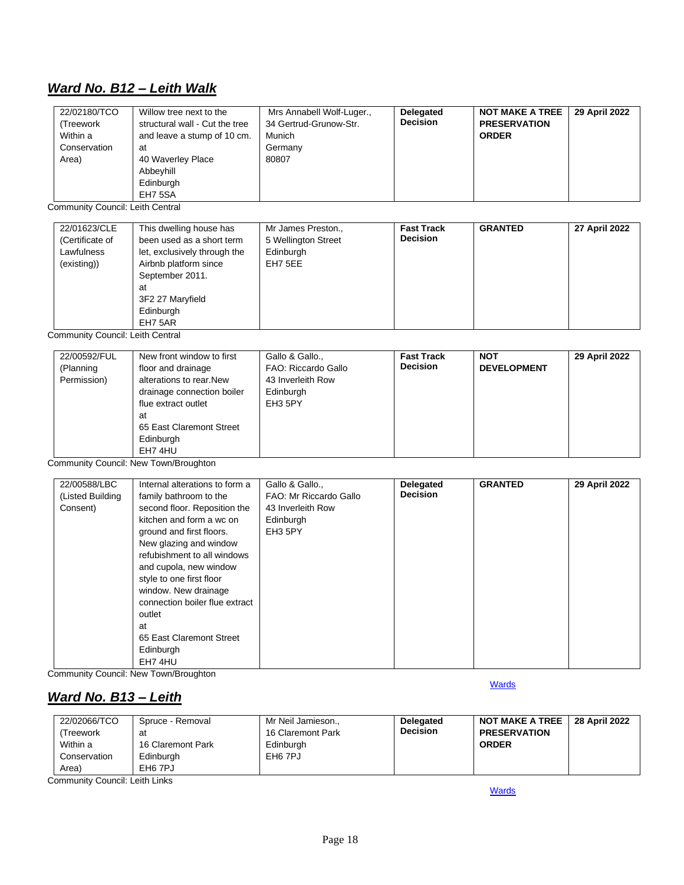## *Ward No. B12 – Leith Walk*

| 22/02180/TCO<br>Willow tree next to the<br>structural wall - Cut the tree<br>(Treework<br>and leave a stump of 10 cm.<br>Within a<br>Conservation<br>at<br>Area)<br>40 Waverley Place<br>Abbeyhill<br>Edinburgh<br>EH7 5SA | Mrs Annabell Wolf-Luger.,<br>34 Gertrud-Grunow-Str.<br>Munich<br>Germany<br>80807 | <b>Delegated</b><br><b>Decision</b> | <b>NOT MAKE A TREE</b><br><b>PRESERVATION</b><br><b>ORDER</b> | 29 April 2022 |
|----------------------------------------------------------------------------------------------------------------------------------------------------------------------------------------------------------------------------|-----------------------------------------------------------------------------------|-------------------------------------|---------------------------------------------------------------|---------------|
|----------------------------------------------------------------------------------------------------------------------------------------------------------------------------------------------------------------------------|-----------------------------------------------------------------------------------|-------------------------------------|---------------------------------------------------------------|---------------|

Community Council: Leith Central

| 22/01623/CLE<br>(Certificate of<br>Lawfulness<br>(existing)) | This dwelling house has<br>been used as a short term<br>let, exclusively through the<br>Airbnb platform since<br>September 2011.<br>at<br>3F2 27 Maryfield<br>Edinburgh | Mr James Preston.,<br>5 Wellington Street<br>Edinburgh<br>EH7 5EE | <b>Fast Track</b><br><b>Decision</b> | <b>GRANTED</b> | 27 April 2022 |
|--------------------------------------------------------------|-------------------------------------------------------------------------------------------------------------------------------------------------------------------------|-------------------------------------------------------------------|--------------------------------------|----------------|---------------|
|                                                              | EH7 5AR                                                                                                                                                                 |                                                                   |                                      |                |               |

Community Council: Leith Central

| 22/00592/FUL<br>(Planning<br>Permission) | New front window to first<br>floor and drainage<br>alterations to rear. New<br>drainage connection boiler<br>flue extract outlet<br>at<br>65 East Claremont Street<br>Edinburgh<br>EH7 4HU | Gallo & Gallo.,<br>FAO: Riccardo Gallo<br>43 Inverleith Row<br>Edinburgh<br>EH3 5PY | <b>Fast Track</b><br><b>Decision</b> | <b>NOT</b><br><b>DEVELOPMENT</b> | 29 April 2022 |
|------------------------------------------|--------------------------------------------------------------------------------------------------------------------------------------------------------------------------------------------|-------------------------------------------------------------------------------------|--------------------------------------|----------------------------------|---------------|
|------------------------------------------|--------------------------------------------------------------------------------------------------------------------------------------------------------------------------------------------|-------------------------------------------------------------------------------------|--------------------------------------|----------------------------------|---------------|

Community Council: New Town/Broughton

| 22/00588/LBC     | Internal alterations to form a | Gallo & Gallo.,        | <b>Delegated</b> | <b>GRANTED</b> | 29 April 2022 |
|------------------|--------------------------------|------------------------|------------------|----------------|---------------|
| (Listed Building | family bathroom to the         | FAO: Mr Riccardo Gallo | <b>Decision</b>  |                |               |
| Consent)         | second floor. Reposition the   | 43 Inverleith Row      |                  |                |               |
|                  | kitchen and form a wc on       | Edinburgh              |                  |                |               |
|                  | ground and first floors.       | EH3 5PY                |                  |                |               |
|                  | New glazing and window         |                        |                  |                |               |
|                  | refubishment to all windows    |                        |                  |                |               |
|                  | and cupola, new window         |                        |                  |                |               |
|                  | style to one first floor       |                        |                  |                |               |
|                  | window. New drainage           |                        |                  |                |               |
|                  | connection boiler flue extract |                        |                  |                |               |
|                  | outlet                         |                        |                  |                |               |
|                  | at                             |                        |                  |                |               |
|                  | 65 East Claremont Street       |                        |                  |                |               |
|                  | Edinburgh                      |                        |                  |                |               |
|                  | EH7 4HU                        |                        |                  |                |               |

Community Council: New Town/Broughton

## <span id="page-17-0"></span>*Ward No. B13 – Leith*

| 22/02066/TCO | Spruce - Removal    | Mr Neil Jamieson.,  | <b>Delegated</b> | <b>NOT MAKE A TREE I</b> | 28 April 2022 |
|--------------|---------------------|---------------------|------------------|--------------------------|---------------|
| Treework     | at                  | 16 Claremont Park   | <b>Decision</b>  | <b>PRESERVATION</b>      |               |
| Within a     | 16 Claremont Park   | Edinburgh           |                  | <b>ORDER</b>             |               |
| Conservation | Edinburgh           | EH <sub>6</sub> 7PJ |                  |                          |               |
| Area)        | EH <sub>6</sub> 7PJ |                     |                  |                          |               |

Community Council: Leith Links

**[Wards](#page-0-0)**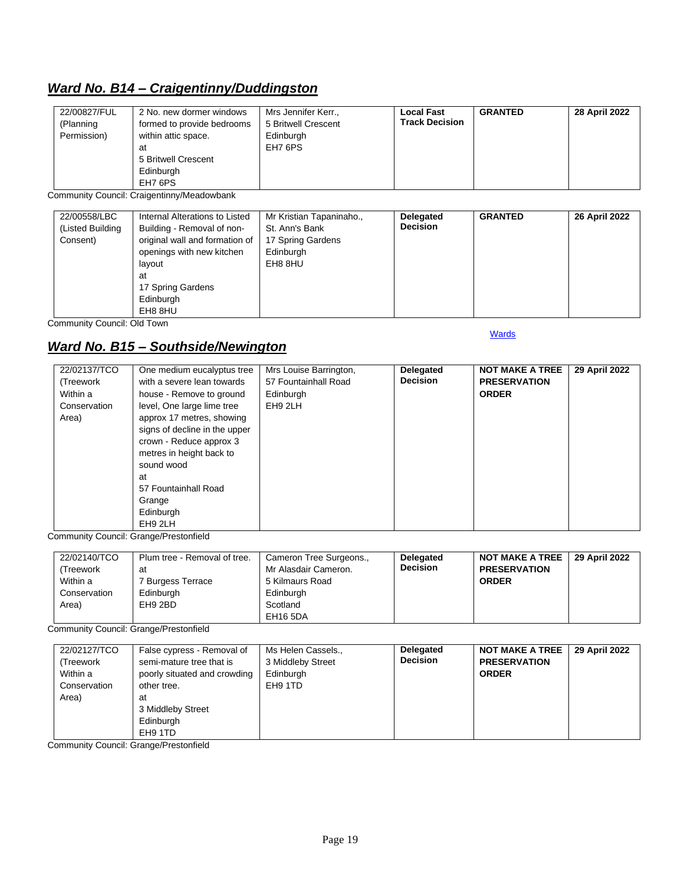## <span id="page-18-0"></span>*Ward No. B14 – Craigentinny/Duddingston*

| 22/00827/FUL<br>(Planning<br>Permission)<br>at<br>Edinburgh<br>EH7 6PS | Mrs Jennifer Kerr.,<br>2 No. new dormer windows<br>5 Britwell Crescent<br>formed to provide bedrooms<br>within attic space.<br>Edinburgh<br>EH7 6PS<br>5 Britwell Crescent | <b>Local Fast</b><br><b>Track Decision</b> | <b>GRANTED</b> | 28 April 2022 |
|------------------------------------------------------------------------|----------------------------------------------------------------------------------------------------------------------------------------------------------------------------|--------------------------------------------|----------------|---------------|
|------------------------------------------------------------------------|----------------------------------------------------------------------------------------------------------------------------------------------------------------------------|--------------------------------------------|----------------|---------------|

Community Council: Craigentinny/Meadowbank

| 22/00558/LBC<br>Internal Alterations to Listed<br>Building - Removal of non-<br>(Listed Building<br>original wall and formation of<br>Consent)<br>openings with new kitchen<br>lavout<br>at<br>17 Spring Gardens<br>Edinburgh<br>EH8 8HU | Mr Kristian Tapaninaho.,<br>St. Ann's Bank<br>17 Spring Gardens<br>Edinburgh<br>EH8 8HU | <b>Delegated</b><br><b>Decision</b> | <b>GRANTED</b> | 26 April 2022 |
|------------------------------------------------------------------------------------------------------------------------------------------------------------------------------------------------------------------------------------------|-----------------------------------------------------------------------------------------|-------------------------------------|----------------|---------------|
|------------------------------------------------------------------------------------------------------------------------------------------------------------------------------------------------------------------------------------------|-----------------------------------------------------------------------------------------|-------------------------------------|----------------|---------------|

Community Council: Old Town

## <span id="page-18-1"></span>*Ward No. B15 – Southside/Newington*

**[Wards](#page-0-0)** 

| 22/02137/TCO<br>(Treework<br>Within a<br>Conservation<br>Area) | One medium eucalyptus tree<br>with a severe lean towards<br>house - Remove to ground<br>level, One large lime tree<br>approx 17 metres, showing<br>signs of decline in the upper<br>crown - Reduce approx 3<br>metres in height back to<br>sound wood<br>at<br>57 Fountainhall Road<br>Grange | Mrs Louise Barrington,<br>57 Fountainhall Road<br>Edinburgh<br>EH9 2LH | <b>Delegated</b><br><b>Decision</b> | <b>NOT MAKE A TREE</b><br><b>PRESERVATION</b><br><b>ORDER</b> | 29 April 2022 |
|----------------------------------------------------------------|-----------------------------------------------------------------------------------------------------------------------------------------------------------------------------------------------------------------------------------------------------------------------------------------------|------------------------------------------------------------------------|-------------------------------------|---------------------------------------------------------------|---------------|
| -                                                              | Edinburgh<br>EH9 2LH<br>.                                                                                                                                                                                                                                                                     |                                                                        |                                     |                                                               |               |

Community Council: Grange/Prestonfield

| 22/02140/TCO<br>(Treework<br>Within a<br>Conservation<br>Area) | Plum tree - Removal of tree.<br>at<br>' Burgess Terrace<br>Edinburgh<br>EH9 2BD | Cameron Tree Surgeons.,<br>Mr Alasdair Cameron.<br>5 Kilmaurs Road<br>Edinburgh<br>Scotland | <b>Delegated</b><br><b>Decision</b> | <b>NOT MAKE A TREE</b><br><b>PRESERVATION</b><br><b>ORDER</b> | 29 April 2022 |
|----------------------------------------------------------------|---------------------------------------------------------------------------------|---------------------------------------------------------------------------------------------|-------------------------------------|---------------------------------------------------------------|---------------|
|                                                                |                                                                                 | EH16 5DA                                                                                    |                                     |                                                               |               |

Community Council: Grange/Prestonfield

| 22/02127/TCO<br>False cypress - Removal of<br>semi-mature tree that is<br>(Treework<br>poorly situated and crowding<br>Within a<br>Conservation<br>other tree.<br>Area)<br>at<br>3 Middleby Street<br>Edinburgh<br>EH9 1TD | Ms Helen Cassels.,<br>3 Middleby Street<br>Edinburgh<br>EH9 1TD | <b>Delegated</b><br><b>Decision</b> | <b>NOT MAKE A TREE</b><br><b>PRESERVATION</b><br><b>ORDER</b> | 29 April 2022 |
|----------------------------------------------------------------------------------------------------------------------------------------------------------------------------------------------------------------------------|-----------------------------------------------------------------|-------------------------------------|---------------------------------------------------------------|---------------|
|----------------------------------------------------------------------------------------------------------------------------------------------------------------------------------------------------------------------------|-----------------------------------------------------------------|-------------------------------------|---------------------------------------------------------------|---------------|

Community Council: Grange/Prestonfield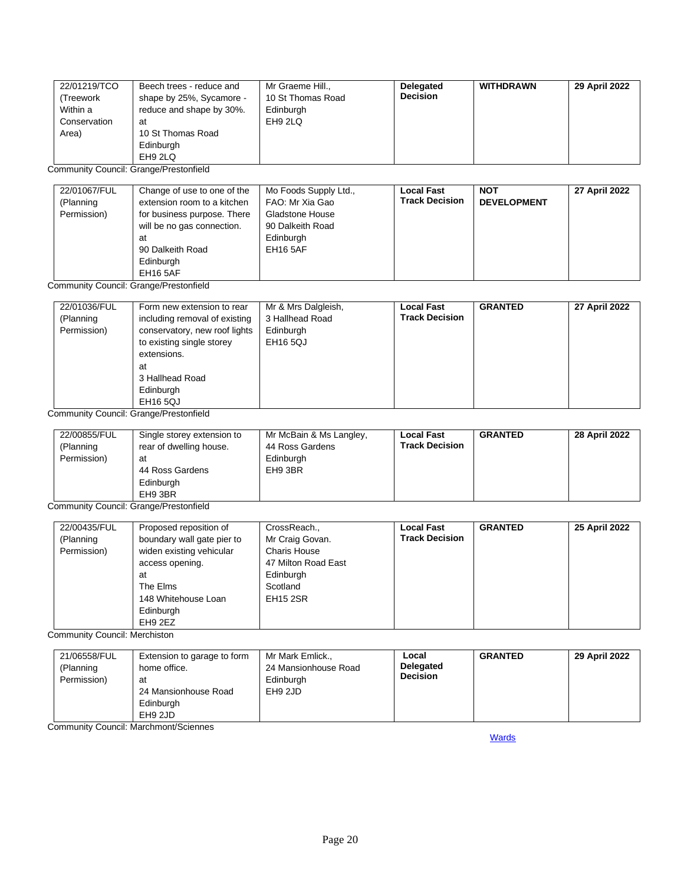| 22/01219/TCO | Beech trees - reduce and | Mr Graeme Hill.,  | <b>Delegated</b> | <b>WITHDRAWN</b> | 29 April 2022 |
|--------------|--------------------------|-------------------|------------------|------------------|---------------|
| (Treework    | shape by 25%, Sycamore - | 10 St Thomas Road | <b>Decision</b>  |                  |               |
| Within a     | reduce and shape by 30%. | Edinburgh         |                  |                  |               |
| Conservation | at                       | EH9 2LQ           |                  |                  |               |
| Area)        | 10 St Thomas Road        |                   |                  |                  |               |
|              | Edinburgh                |                   |                  |                  |               |
|              | EH9 2LQ                  |                   |                  |                  |               |

Community Council: Grange/Prestonfield

| 22/01067/FUL<br>(Planning<br>Permission) | Change of use to one of the<br>extension room to a kitchen<br>for business purpose. There<br>will be no gas connection.<br>at<br>90 Dalkeith Road<br>Edinburgh | Mo Foods Supply Ltd.,<br>FAO: Mr Xia Gao<br><b>Gladstone House</b><br>90 Dalkeith Road<br>Edinburgh<br><b>EH16 5AF</b> | <b>Local Fast</b><br><b>Track Decision</b> | <b>NOT</b><br><b>DEVELOPMENT</b> | 27 April 2022 |
|------------------------------------------|----------------------------------------------------------------------------------------------------------------------------------------------------------------|------------------------------------------------------------------------------------------------------------------------|--------------------------------------------|----------------------------------|---------------|
|                                          | EH16 5AF                                                                                                                                                       |                                                                                                                        |                                            |                                  |               |

Community Council: Grange/Prestonfield

| 22/01036/FUL<br>(Planning | Form new extension to rear<br>including removal of existing | Mr & Mrs Dalgleish,<br>3 Hallhead Road | <b>Local Fast</b><br><b>Track Decision</b> | <b>GRANTED</b> | 27 April 2022 |
|---------------------------|-------------------------------------------------------------|----------------------------------------|--------------------------------------------|----------------|---------------|
| Permission)               | conservatory, new roof lights                               | Edinburgh                              |                                            |                |               |
|                           | to existing single storey                                   | <b>EH16 5QJ</b>                        |                                            |                |               |
|                           | extensions.                                                 |                                        |                                            |                |               |
|                           | at                                                          |                                        |                                            |                |               |
|                           | 3 Hallhead Road                                             |                                        |                                            |                |               |
|                           | Edinburgh                                                   |                                        |                                            |                |               |
|                           | <b>EH16 5QJ</b>                                             |                                        |                                            |                |               |

Community Council: Grange/Prestonfield

| 22/00855/FUL<br>(Planning<br>Permission) | Single storey extension to<br>rear of dwelling house.<br>at<br>44 Ross Gardens | Mr McBain & Ms Langley,<br>44 Ross Gardens<br>Edinburgh<br>EH9 3BR | <b>Local Fast</b><br><b>Track Decision</b> | <b>GRANTED</b> | 28 April 2022 |
|------------------------------------------|--------------------------------------------------------------------------------|--------------------------------------------------------------------|--------------------------------------------|----------------|---------------|
|                                          | Edinburgh<br>EH9 3BR                                                           |                                                                    |                                            |                |               |

Community Council: Grange/Prestonfield

| 22/00435/FUL | Proposed reposition of     | CrossReach.,        | <b>Local Fast</b>     | <b>GRANTED</b> | 25 April 2022 |
|--------------|----------------------------|---------------------|-----------------------|----------------|---------------|
| (Planning    | boundary wall gate pier to | Mr Craig Govan.     | <b>Track Decision</b> |                |               |
| Permission)  | widen existing vehicular   | <b>Charis House</b> |                       |                |               |
|              | access opening.            | 47 Milton Road East |                       |                |               |
|              | at                         | Edinburgh           |                       |                |               |
|              | The Elms                   | Scotland            |                       |                |               |
|              | 148 Whitehouse Loan        | <b>EH15 2SR</b>     |                       |                |               |
|              | Edinburgh                  |                     |                       |                |               |
|              | EH9 2EZ                    |                     |                       |                |               |

Community Council: Merchiston

| 21/06558/FUL<br>(Planning<br>Permission) | Extension to garage to form<br>home office.<br>at<br>24 Mansionhouse Road<br>Edinburgh<br>EH9 2JD | Mr Mark Emlick.,<br>24 Mansionhouse Road<br>Edinburgh<br>EH9 2JD | Local<br>Delegated<br><b>Decision</b> | <b>GRANTED</b> | 29 April 2022 |
|------------------------------------------|---------------------------------------------------------------------------------------------------|------------------------------------------------------------------|---------------------------------------|----------------|---------------|
|------------------------------------------|---------------------------------------------------------------------------------------------------|------------------------------------------------------------------|---------------------------------------|----------------|---------------|

<span id="page-19-0"></span>Community Council: Marchmont/Sciennes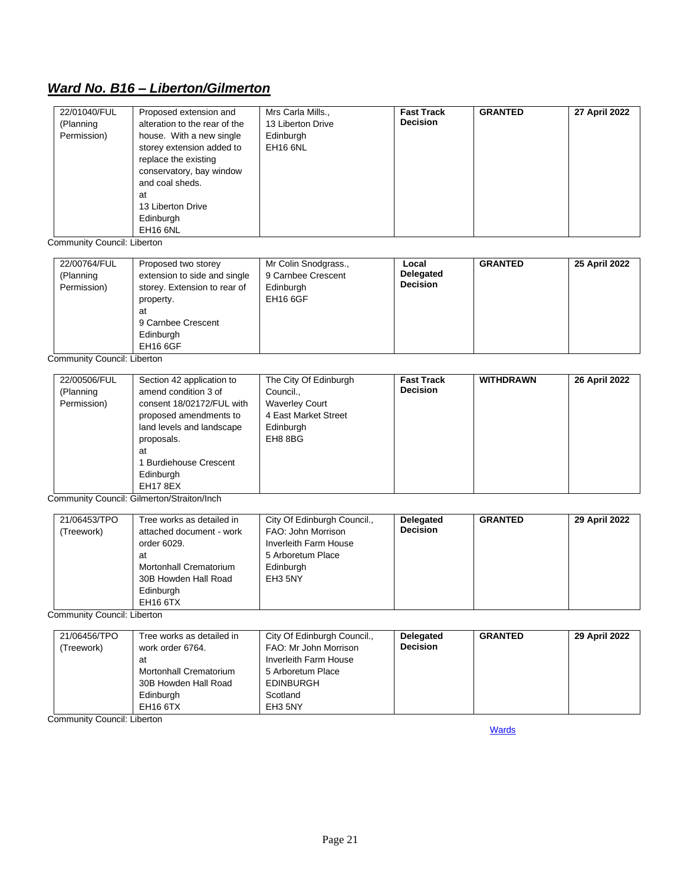## *Ward No. B16 – Liberton/Gilmerton*

| 22/01040/FUL<br>(Planning<br>Permission) | Proposed extension and<br>alteration to the rear of the<br>house. With a new single<br>storey extension added to<br>replace the existing<br>conservatory, bay window<br>and coal sheds.<br>at<br>13 Liberton Drive | Mrs Carla Mills.,<br>13 Liberton Drive<br>Edinburgh<br><b>EH16 6NL</b> | <b>Fast Track</b><br><b>Decision</b> | <b>GRANTED</b> | 27 April 2022 |
|------------------------------------------|--------------------------------------------------------------------------------------------------------------------------------------------------------------------------------------------------------------------|------------------------------------------------------------------------|--------------------------------------|----------------|---------------|
|                                          | Edinburgh<br>EH <sub>16</sub> 6NL                                                                                                                                                                                  |                                                                        |                                      |                |               |

Community Council: Liberton

| 22/00764/FUL | Proposed two storey          | Mr Colin Snodgrass., | Local            | <b>GRANTED</b> | 25 April 2022 |
|--------------|------------------------------|----------------------|------------------|----------------|---------------|
| (Planning    | extension to side and single | 9 Carnbee Crescent   | <b>Delegated</b> |                |               |
| Permission)  | storey. Extension to rear of | Edinburgh            | <b>Decision</b>  |                |               |
|              | property.                    | <b>EH16 6GF</b>      |                  |                |               |
|              | at                           |                      |                  |                |               |
|              | 9 Carnbee Crescent           |                      |                  |                |               |
|              | Edinburgh                    |                      |                  |                |               |
|              | <b>EH16 6GF</b>              |                      |                  |                |               |

Community Council: Liberton

| consent 18/02172/FUL with<br><b>Waverley Court</b><br>4 East Market Street<br>proposed amendments to<br>land levels and landscape<br>Edinburgh<br>EH8 8BG<br>proposals.<br>at<br>1 Burdiehouse Crescent<br>Edinburgh<br><b>EH17 8EX</b> | (Planning<br>Permission) |  |
|-----------------------------------------------------------------------------------------------------------------------------------------------------------------------------------------------------------------------------------------|--------------------------|--|
|-----------------------------------------------------------------------------------------------------------------------------------------------------------------------------------------------------------------------------------------|--------------------------|--|

Community Council: Gilmerton/Straiton/Inch

| 21/06453/TPO | Tree works as detailed in | City Of Edinburgh Council., | <b>Delegated</b> | <b>GRANTED</b> | 29 April 2022 |
|--------------|---------------------------|-----------------------------|------------------|----------------|---------------|
| (Treework)   | attached document - work  | FAO: John Morrison          | <b>Decision</b>  |                |               |
|              | order 6029.               | Inverleith Farm House       |                  |                |               |
|              | at                        | 5 Arboretum Place           |                  |                |               |
|              | Mortonhall Crematorium    | Edinburgh                   |                  |                |               |
|              | 30B Howden Hall Road      | EH3 5NY                     |                  |                |               |
|              | Edinburgh                 |                             |                  |                |               |
|              | EH16 6TX                  |                             |                  |                |               |

Community Council: Liberton

| 21/06456/TPO | Tree works as detailed in | City Of Edinburgh Council., | <b>Delegated</b> | <b>GRANTED</b> | 29 April 2022 |
|--------------|---------------------------|-----------------------------|------------------|----------------|---------------|
| (Treework)   | work order 6764.          | FAO: Mr John Morrison       | <b>Decision</b>  |                |               |
|              | at                        | Inverleith Farm House       |                  |                |               |
|              | Mortonhall Crematorium    | 5 Arboretum Place           |                  |                |               |
|              | 30B Howden Hall Road      | <b>EDINBURGH</b>            |                  |                |               |
|              | Edinburgh                 | Scotland                    |                  |                |               |
|              | EH16 6TX                  | EH3 5NY                     |                  |                |               |

<span id="page-20-0"></span>Community Council: Liberton